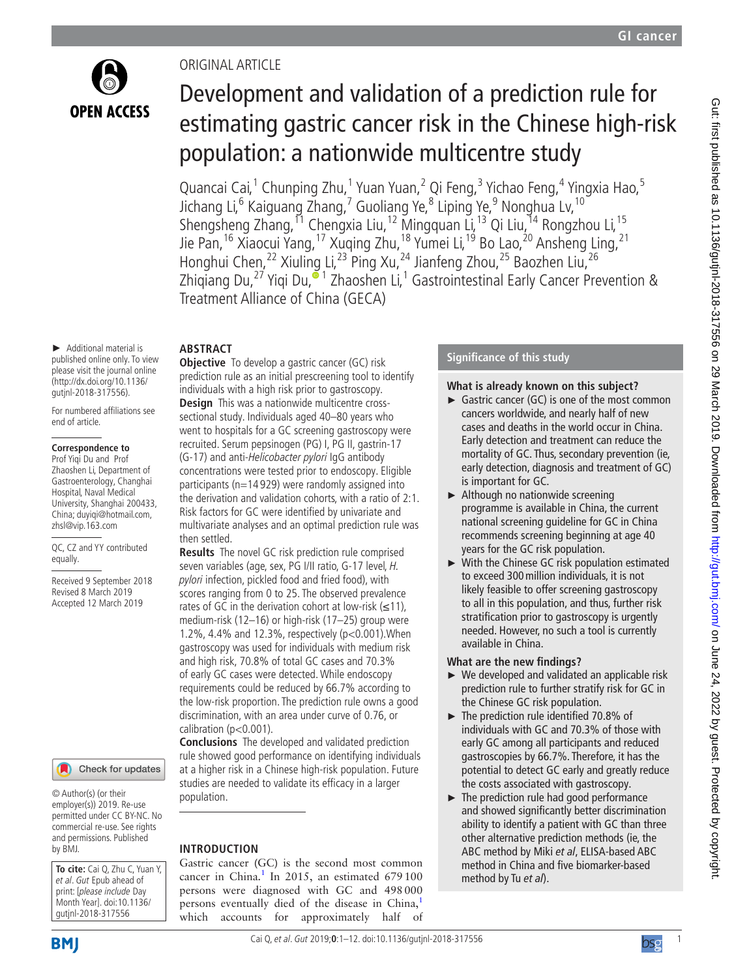

# Original article

# Development and validation of a prediction rule for estimating gastric cancer risk in the Chinese high-risk population: a nationwide multicentre study

Quancai Cai,<sup>1</sup> Chunping Zhu,<sup>1</sup> Yuan Yuan,<sup>2</sup> Qi Feng,<sup>3</sup> Yichao Feng,<sup>4</sup> Yingxia Hao,<sup>5</sup> Jichang Li,<sup>6</sup> Kaiguang Zhang,<sup>7</sup> Guoliang Ye,<sup>8</sup> Liping Ye,<sup>9</sup> Nonghua Lv, <sup>10</sup> Shengsheng Zhang, <sup>11</sup> Chengxia Liu, <sup>12</sup> Mingquan Li, <sup>13</sup> Qi Liu, <sup>14</sup> Rongzhou Li, <sup>15</sup> Jie Pan, <sup>16</sup> Xiaocui Yang, <sup>17</sup> Xuqing Zhu, <sup>18</sup> Yumei Li, <sup>19</sup> Bo Lao, <sup>20</sup> Ansheng Ling, <sup>21</sup> Honghui Chen,<sup>22</sup> Xiuling Li,<sup>23</sup> Ping Xu,<sup>24</sup> Jianfeng Zhou,<sup>25</sup> Baozhen Liu,<sup>26</sup> Zhiqiang Du[,](http://orcid.org/0000-0002-4261-6888)<sup>27</sup> Yiqi Du,<sup>61</sup> Zhaoshen Li,<sup>1</sup> Gastrointestinal Early Cancer Prevention & Treatment Alliance of China (GECA)

► Additional material is published online only. To view please visit the journal online (http://dx.doi.org/10.1136/ gutjnl-2018-317556).

For numbered affiliations see end of article.

#### **Correspondence to**

Prof Yiqi Du and Prof Zhaoshen Li, Department of Gastroenterology, Changhai Hospital, Naval Medical University, Shanghai 200433, China; duyiqi@hotmail.com, zhsl@vip.163.com

QC, CZ and YY contributed equally.

Received 9 September 2018 Revised 8 March 2019 Accepted 12 March 2019



© Author(s) (or their employer(s)) 2019. Re-use permitted under CC BY-NC. No commercial re-use. See rights and permissions. Published by BMJ.

**To cite:** Cai Q, Zhu C, Yuan Y, et al. Gut Epub ahead of print: [please include Day Month Year]. doi:10.1136/ gutjnl-2018-317556

**BMI** 

# **Abstract**

**Objective** To develop a gastric cancer (GC) risk prediction rule as an initial prescreening tool to identify individuals with a high risk prior to gastroscopy. **Design** This was a nationwide multicentre crosssectional study. Individuals aged 40–80 years who went to hospitals for a GC screening gastroscopy were recruited. Serum pepsinogen (PG) I, PG II, gastrin-17 (G-17) and anti-Helicobacter pylori IgG antibody concentrations were tested prior to endoscopy. Eligible participants (n=14 929) were randomly assigned into the derivation and validation cohorts, with a ratio of 2:1. Risk factors for GC were identified by univariate and multivariate analyses and an optimal prediction rule was then settled.

**Results** The novel GC risk prediction rule comprised seven variables (age, sex, PG I/II ratio, G-17 level, H. pylori infection, pickled food and fried food), with scores ranging from 0 to 25. The observed prevalence rates of GC in the derivation cohort at low-risk  $(\leq 11)$ , medium-risk (12–16) or high-risk (17–25) group were 1.2%, 4.4% and 12.3%, respectively (p<0.001).When gastroscopy was used for individuals with medium risk and high risk, 70.8% of total GC cases and 70.3% of early GC cases were detected. While endoscopy requirements could be reduced by 66.7% according to the low-risk proportion. The prediction rule owns a good discrimination, with an area under curve of 0.76, or calibration (p<0.001).

**Conclusions** The developed and validated prediction rule showed good performance on identifying individuals at a higher risk in a Chinese high-risk population. Future studies are needed to validate its efficacy in a larger population.

# **Introduction**

Gastric cancer (GC) is the second most common cancer in China. $<sup>1</sup>$  $<sup>1</sup>$  $<sup>1</sup>$  In 2015, an estimated 679100</sup> persons were diagnosed with GC and 498000 persons eventually died of the disease in China,<sup>[1](#page-10-0)</sup> which accounts for approximately half of

# **Significance of this study**

#### **What is already known on this subject?**

- ► Gastric cancer (GC) is one of the most common cancers worldwide, and nearly half of new cases and deaths in the world occur in China. Early detection and treatment can reduce the mortality of GC. Thus, secondary prevention (ie, early detection, diagnosis and treatment of GC) is important for GC.
- ► Although no nationwide screening programme is available in China, the current national screening guideline for GC in China recommends screening beginning at age 40 years for the GC risk population.
- ► With the Chinese GC risk population estimated to exceed 300million individuals, it is not likely feasible to offer screening gastroscopy to all in this population, and thus, further risk stratification prior to gastroscopy is urgently needed. However, no such a tool is currently available in China.

# **What are the new findings?**

- ► We developed and validated an applicable risk prediction rule to further stratify risk for GC in the Chinese GC risk population.
- ► The prediction rule identified 70.8% of individuals with GC and 70.3% of those with early GC among all participants and reduced gastroscopies by 66.7%. Therefore, it has the potential to detect GC early and greatly reduce the costs associated with gastroscopy.
- ► The prediction rule had good performance and showed significantly better discrimination ability to identify a patient with GC than three other alternative prediction methods (ie, the ABC method by Miki *et al*, ELISA-based ABC method in China and five biomarker-based method by Tu *et al*).

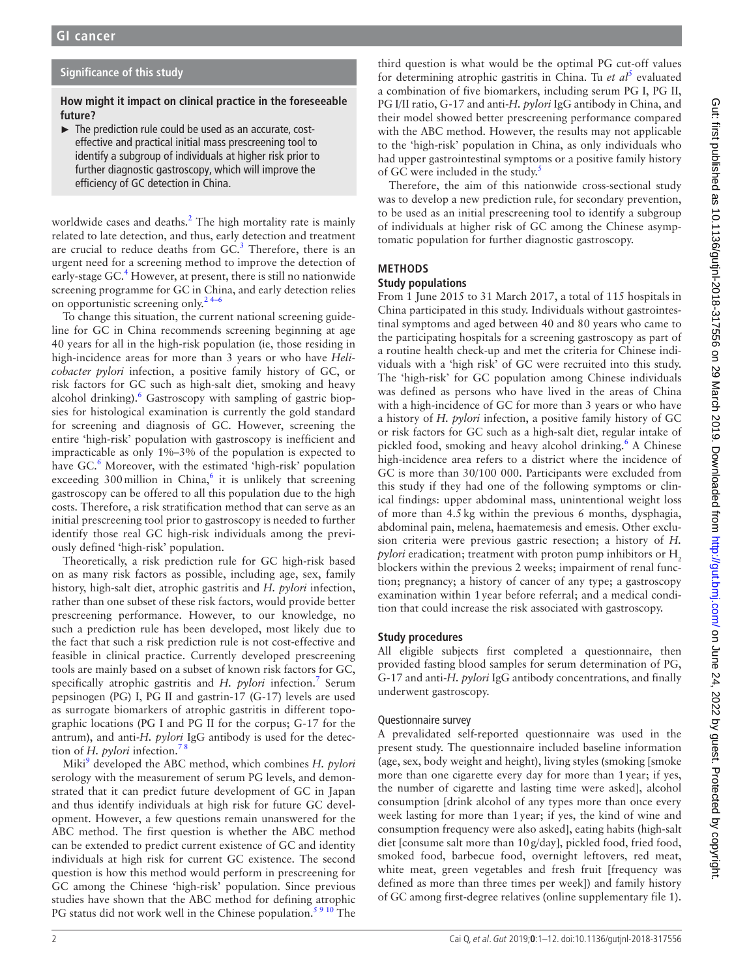# **Significance of this study**

#### **How might it impact on clinical practice in the foreseeable future?**

► The prediction rule could be used as an accurate, costeffective and practical initial mass prescreening tool to identify a subgroup of individuals at higher risk prior to further diagnostic gastroscopy, which will improve the efficiency of GC detection in China.

worldwide cases and deaths.<sup>[2](#page-10-1)</sup> The high mortality rate is mainly related to late detection, and thus, early detection and treatment are crucial to reduce deaths from  $GC<sup>3</sup>$  $GC<sup>3</sup>$  $GC<sup>3</sup>$  Therefore, there is an urgent need for a screening method to improve the detection of early-stage GC.<sup>[4](#page-10-3)</sup> However, at present, there is still no nationwide screening programme for GC in China, and early detection relies on opportunistic screening only.<sup>24–6</sup>

To change this situation, the current national screening guideline for GC in China recommends screening beginning at age 40 years for all in the high-risk population (ie, those residing in high-incidence areas for more than 3 years or who have *Helicobacter pylori* infection, a positive family history of GC, or risk factors for GC such as high-salt diet, smoking and heavy alcohol drinking).<sup>[6](#page-10-4)</sup> Gastroscopy with sampling of gastric biopsies for histological examination is currently the gold standard for screening and diagnosis of GC. However, screening the entire 'high-risk' population with gastroscopy is inefficient and impracticable as only 1%–3% of the population is expected to have GC.<sup>[6](#page-10-4)</sup> Moreover, with the estimated 'high-risk' population exceeding 300 million in China, $6$  it is unlikely that screening gastroscopy can be offered to all this population due to the high costs. Therefore, a risk stratification method that can serve as an initial prescreening tool prior to gastroscopy is needed to further identify those real GC high-risk individuals among the previously defined 'high-risk' population.

Theoretically, a risk prediction rule for GC high-risk based on as many risk factors as possible, including age, sex, family history, high-salt diet, atrophic gastritis and *H. pylori* infection, rather than one subset of these risk factors, would provide better prescreening performance. However, to our knowledge, no such a prediction rule has been developed, most likely due to the fact that such a risk prediction rule is not cost-effective and feasible in clinical practice. Currently developed prescreening tools are mainly based on a subset of known risk factors for GC, specifically atrophic gastritis and *H. pylori* infection.<sup>7</sup> Serum pepsinogen (PG) I, PG II and gastrin-17 (G-17) levels are used as surrogate biomarkers of atrophic gastritis in different topographic locations (PG I and PG II for the corpus; G-17 for the antrum), and anti-*H. pylori* IgG antibody is used for the detection of *H. pylori* infection[.7 8](#page-10-5)

Miki<sup>[9](#page-10-6)</sup> developed the ABC method, which combines *H. pylori* serology with the measurement of serum PG levels, and demonstrated that it can predict future development of GC in Japan and thus identify individuals at high risk for future GC development. However, a few questions remain unanswered for the ABC method. The first question is whether the ABC method can be extended to predict current existence of GC and identity individuals at high risk for current GC existence. The second question is how this method would perform in prescreening for GC among the Chinese 'high-risk' population. Since previous studies have shown that the ABC method for defining atrophic PG status did not work well in the Chinese population.<sup>59</sup><sup>10</sup> The

third question is what would be the optimal PG cut-off values for determining atrophic gastritis in China. Tu et al<sup>[5](#page-10-7)</sup> evaluated a combination of five biomarkers, including serum PG I, PG II, PG I/II ratio, G-17 and anti-*H. pylori* IgG antibody in China, and their model showed better prescreening performance compared with the ABC method. However, the results may not applicable to the 'high-risk' population in China, as only individuals who had upper gastrointestinal symptoms or a positive family history of GC were included in the study.<sup>[5](#page-10-7)</sup>

Therefore, the aim of this nationwide cross-sectional study was to develop a new prediction rule, for secondary prevention, to be used as an initial prescreening tool to identify a subgroup of individuals at higher risk of GC among the Chinese asymptomatic population for further diagnostic gastroscopy.

# **Methods**

#### **Study populations**

From 1 June 2015 to 31 March 2017, a total of 115 hospitals in China participated in this study. Individuals without gastrointestinal symptoms and aged between 40 and 80 years who came to the participating hospitals for a screening gastroscopy as part of a routine health check-up and met the criteria for Chinese individuals with a 'high risk' of GC were recruited into this study. The 'high-risk' for GC population among Chinese individuals was defined as persons who have lived in the areas of China with a high-incidence of GC for more than 3 years or who have a history of *H. pylori* infection, a positive family history of GC or risk factors for GC such as a high-salt diet, regular intake of pickled food, smoking and heavy alcohol drinking.<sup>[6](#page-10-4)</sup> A Chinese high-incidence area refers to a district where the incidence of GC is more than 30/100 000. Participants were excluded from this study if they had one of the following symptoms or clinical findings: upper abdominal mass, unintentional weight loss of more than 4.5kg within the previous 6 months, dysphagia, abdominal pain, melena, haematemesis and emesis. Other exclusion criteria were previous gastric resection; a history of *H. pylori* eradication; treatment with proton pump inhibitors or H<sub>2</sub> blockers within the previous 2 weeks; impairment of renal function; pregnancy; a history of cancer of any type; a gastroscopy examination within 1year before referral; and a medical condition that could increase the risk associated with gastroscopy.

# **Study procedures**

All eligible subjects first completed a questionnaire, then provided fasting blood samples for serum determination of PG, G-17 and anti-*H. pylori* IgG antibody concentrations, and finally underwent gastroscopy.

# Questionnaire survey

A prevalidated self-reported questionnaire was used in the present study. The questionnaire included baseline information (age, sex, body weight and height), living styles (smoking [smoke more than one cigarette every day for more than 1year; if yes, the number of cigarette and lasting time were asked], alcohol consumption [drink alcohol of any types more than once every week lasting for more than 1year; if yes, the kind of wine and consumption frequency were also asked], eating habits (high-salt diet [consume salt more than 10g/day], pickled food, fried food, smoked food, barbecue food, overnight leftovers, red meat, white meat, green vegetables and fresh fruit [frequency was defined as more than three times per week]) and family history of GC among first-degree relatives (online [supplementary file 1\)](https://dx.doi.org/10.1136/gutjnl-2018-317556).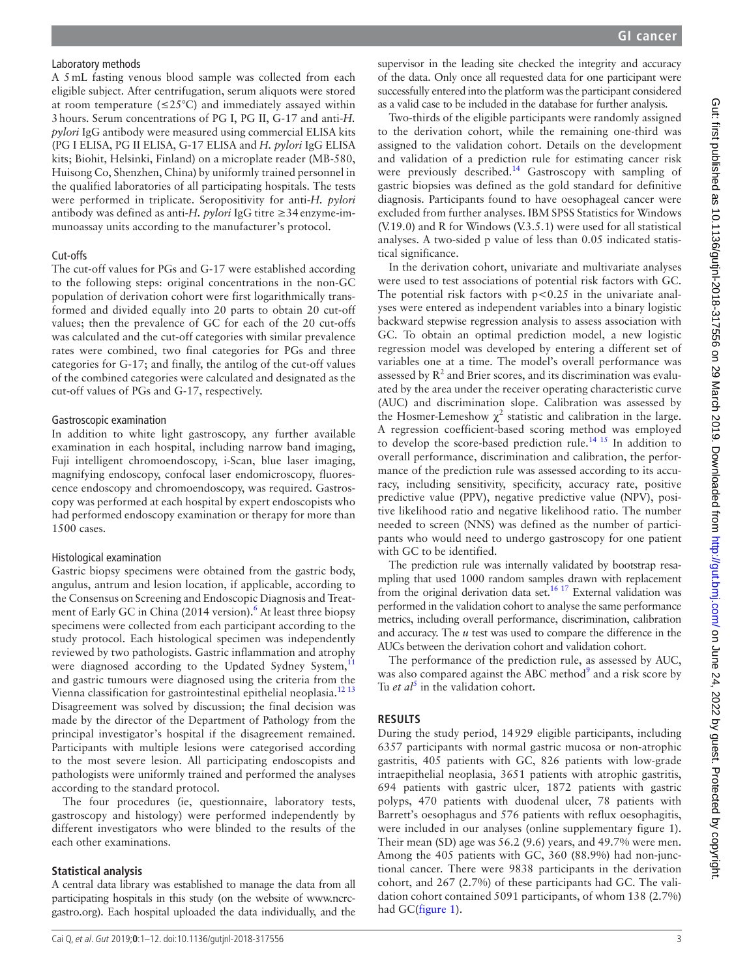A 5mL fasting venous blood sample was collected from each eligible subject. After centrifugation, serum aliquots were stored at room temperature ( $\leq$ 25°C) and immediately assayed within 3hours. Serum concentrations of PG I, PG II, G-17 and anti-*H. pylori* IgG antibody were measured using commercial ELISA kits (PG I ELISA, PG II ELISA, G-17 ELISA and *H. pylori* IgG ELISA kits; Biohit, Helsinki, Finland) on a microplate reader (MB-580, Huisong Co, Shenzhen, China) by uniformly trained personnel in the qualified laboratories of all participating hospitals. The tests were performed in triplicate. Seropositivity for anti-*H. pylori* antibody was defined as anti-*H. pylori* IgG titre ≥34enzyme-immunoassay units according to the manufacturer's protocol.

#### Cut-offs

The cut-off values for PGs and G-17 were established according to the following steps: original concentrations in the non-GC population of derivation cohort were first logarithmically transformed and divided equally into 20 parts to obtain 20 cut-off values; then the prevalence of GC for each of the 20 cut-offs was calculated and the cut-off categories with similar prevalence rates were combined, two final categories for PGs and three categories for G-17; and finally, the antilog of the cut-off values of the combined categories were calculated and designated as the cut-off values of PGs and G-17, respectively.

#### Gastroscopic examination

In addition to white light gastroscopy, any further available examination in each hospital, including narrow band imaging, Fuji intelligent chromoendoscopy, i-Scan, blue laser imaging, magnifying endoscopy, confocal laser endomicroscopy, fluorescence endoscopy and chromoendoscopy, was required. Gastroscopy was performed at each hospital by expert endoscopists who had performed endoscopy examination or therapy for more than 1500 cases.

# Histological examination

Gastric biopsy specimens were obtained from the gastric body, angulus, antrum and lesion location, if applicable, according to the Consensus on Screening and Endoscopic Diagnosis and Treat-ment of Early GC in China (2014 version).<sup>[6](#page-10-4)</sup> At least three biopsy specimens were collected from each participant according to the study protocol. Each histological specimen was independently reviewed by two pathologists. Gastric inflammation and atrophy were diagnosed according to the Updated Sydney System,<sup>1</sup> and gastric tumours were diagnosed using the criteria from the Vienna classification for gastrointestinal epithelial neoplasia.<sup>[12 13](#page-10-9)</sup> Disagreement was solved by discussion; the final decision was made by the director of the Department of Pathology from the principal investigator's hospital if the disagreement remained. Participants with multiple lesions were categorised according to the most severe lesion. All participating endoscopists and pathologists were uniformly trained and performed the analyses according to the standard protocol.

The four procedures (ie, questionnaire, laboratory tests, gastroscopy and histology) were performed independently by different investigators who were blinded to the results of the each other examinations.

# **Statistical analysis**

A central data library was established to manage the data from all participating hospitals in this study (on the website of [www.ncrc](www.ncrcgastro.org)[gastro.org\)](www.ncrcgastro.org). Each hospital uploaded the data individually, and the

supervisor in the leading site checked the integrity and accuracy of the data. Only once all requested data for one participant were successfully entered into the platform was the participant considered as a valid case to be included in the database for further analysis.

Two-thirds of the eligible participants were randomly assigned to the derivation cohort, while the remaining one-third was assigned to the validation cohort. Details on the development and validation of a prediction rule for estimating cancer risk were previously described.<sup>[14](#page-10-10)</sup> Gastroscopy with sampling of gastric biopsies was defined as the gold standard for definitive diagnosis. Participants found to have oesophageal cancer were excluded from further analyses. IBM SPSS Statistics for Windows (V.19.0) and R for Windows (V.3.5.1) were used for all statistical analyses. A two-sided p value of less than 0.05 indicated statistical significance.

In the derivation cohort, univariate and multivariate analyses were used to test associations of potential risk factors with GC. The potential risk factors with  $p < 0.25$  in the univariate analyses were entered as independent variables into a binary logistic backward stepwise regression analysis to assess association with GC. To obtain an optimal prediction model, a new logistic regression model was developed by entering a different set of variables one at a time. The model's overall performance was assessed by  $R^2$  and Brier scores, and its discrimination was evaluated by the area under the receiver operating characteristic curve (AUC) and discrimination slope. Calibration was assessed by the Hosmer-Lemeshow  $\chi^2$  statistic and calibration in the large. A regression coefficient-based scoring method was employed to develop the score-based prediction rule.[14 15](#page-10-10) In addition to overall performance, discrimination and calibration, the performance of the prediction rule was assessed according to its accuracy, including sensitivity, specificity, accuracy rate, positive predictive value (PPV), negative predictive value (NPV), positive likelihood ratio and negative likelihood ratio. The number needed to screen (NNS) was defined as the number of participants who would need to undergo gastroscopy for one patient with GC to be identified.

The prediction rule was internally validated by bootstrap resampling that used 1000 random samples drawn with replacement from the original derivation data set.<sup>16 17</sup> External validation was performed in the validation cohort to analyse the same performance metrics, including overall performance, discrimination, calibration and accuracy. The *u* test was used to compare the difference in the AUCs between the derivation cohort and validation cohort.

The performance of the prediction rule, as assessed by AUC, was also compared against the ABC method<sup>[9](#page-10-6)</sup> and a risk score by Tu *et al*<sup>[5](#page-10-7)</sup> in the validation cohort.

# **Results**

During the study period, 14929 eligible participants, including 6357 participants with normal gastric mucosa or non-atrophic gastritis, 405 patients with GC, 826 patients with low-grade intraepithelial neoplasia, 3651 patients with atrophic gastritis, 694 patients with gastric ulcer, 1872 patients with gastric polyps, 470 patients with duodenal ulcer, 78 patients with Barrett's oesophagus and 576 patients with reflux oesophagitis, were included in our analyses (online [supplementary figure 1\)](https://dx.doi.org/10.1136/gutjnl-2018-317556). Their mean (SD) age was 56.2 (9.6) years, and 49.7% were men. Among the 405 patients with GC, 360 (88.9%) had non-junctional cancer. There were 9838 participants in the derivation cohort, and 267 (2.7%) of these participants had GC. The validation cohort contained 5091 participants, of whom 138 (2.7%) had GC([figure](#page-3-0) 1).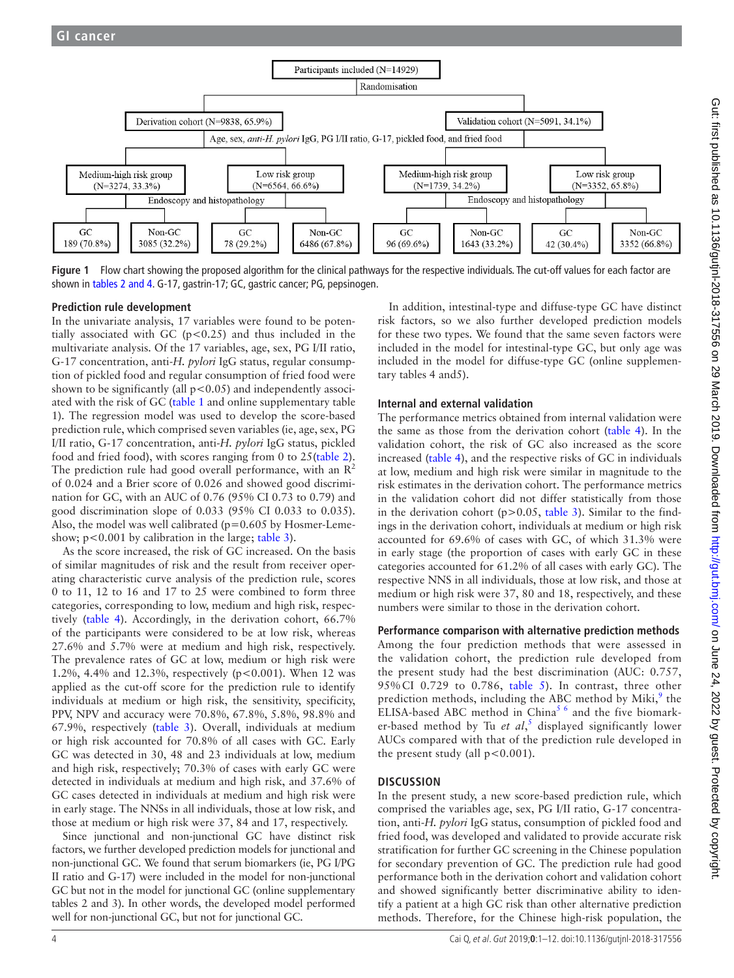

<span id="page-3-0"></span>**Figure 1** Flow chart showing the proposed algorithm for the clinical pathways for the respective individuals. The cut-off values for each factor are shown in [tables 2 and 4.](#page-5-0) G-17, gastrin-17; GC, gastric cancer; PG, pepsinogen.

#### **Prediction rule development**

In the univariate analysis, 17 variables were found to be potentially associated with GC ( $p < 0.25$ ) and thus included in the multivariate analysis. Of the 17 variables, age, sex, PG I/II ratio, G-17 concentration, anti-*H. pylori* IgG status, regular consumption of pickled food and regular consumption of fried food were shown to be significantly (all p<0.05) and independently associated with the risk of GC [\(table](#page-4-0) 1 and online [supplementary table](https://dx.doi.org/10.1136/gutjnl-2018-317556)  [1](https://dx.doi.org/10.1136/gutjnl-2018-317556)). The regression model was used to develop the score-based prediction rule, which comprised seven variables (ie, age, sex, PG I/II ratio, G-17 concentration, anti-*H. pylori* IgG status, pickled food and fried food), with scores ranging from 0 to 25([table](#page-5-0) 2). The prediction rule had good overall performance, with an  $\mathbb{R}^2$ of 0.024 and a Brier score of 0.026 and showed good discrimination for GC, with an AUC of 0.76 (95% CI 0.73 to 0.79) and good discrimination slope of 0.033 (95% CI 0.033 to 0.035). Also, the model was well calibrated ( $p=0.605$  by Hosmer-Lemeshow;  $p < 0.001$  by calibration in the large; [table](#page-6-0) 3).

As the score increased, the risk of GC increased. On the basis of similar magnitudes of risk and the result from receiver operating characteristic curve analysis of the prediction rule, scores 0 to 11, 12 to 16 and 17 to 25 were combined to form three categories, corresponding to low, medium and high risk, respectively [\(table](#page-7-0) 4). Accordingly, in the derivation cohort, 66.7% of the participants were considered to be at low risk, whereas 27.6% and 5.7% were at medium and high risk, respectively. The prevalence rates of GC at low, medium or high risk were 1.2%, 4.4% and 12.3%, respectively (p<0.001). When 12 was applied as the cut-off score for the prediction rule to identify individuals at medium or high risk, the sensitivity, specificity, PPV, NPV and accuracy were 70.8%, 67.8%, 5.8%, 98.8% and 67.9%, respectively ([table](#page-6-0) 3). Overall, individuals at medium or high risk accounted for 70.8% of all cases with GC. Early GC was detected in 30, 48 and 23 individuals at low, medium and high risk, respectively; 70.3% of cases with early GC were detected in individuals at medium and high risk, and 37.6% of GC cases detected in individuals at medium and high risk were in early stage. The NNSs in all individuals, those at low risk, and those at medium or high risk were 37, 84 and 17, respectively.

Since junctional and non-junctional GC have distinct risk factors, we further developed prediction models for junctional and non-junctional GC. We found that serum biomarkers (ie, PG I/PG II ratio and G-17) were included in the model for non-junctional GC but not in the model for junctional GC (online [supplementary](https://dx.doi.org/10.1136/gutjnl-2018-317556)  [tables 2](https://dx.doi.org/10.1136/gutjnl-2018-317556) and 3). In other words, the developed model performed well for non-junctional GC, but not for junctional GC.

In addition, intestinal-type and diffuse-type GC have distinct risk factors, so we also further developed prediction models for these two types. We found that the same seven factors were included in the model for intestinal-type GC, but only age was included in the model for diffuse-type GC (online [supplemen](https://dx.doi.org/10.1136/gutjnl-2018-317556)[tary tables 4](https://dx.doi.org/10.1136/gutjnl-2018-317556) and5).

#### **Internal and external validation**

The performance metrics obtained from internal validation were the same as those from the derivation cohort [\(table](#page-7-0) 4). In the validation cohort, the risk of GC also increased as the score increased [\(table](#page-7-0) 4), and the respective risks of GC in individuals at low, medium and high risk were similar in magnitude to the risk estimates in the derivation cohort. The performance metrics in the validation cohort did not differ statistically from those in the derivation cohort ( $p > 0.05$ , [table](#page-6-0) 3). Similar to the findings in the derivation cohort, individuals at medium or high risk accounted for 69.6% of cases with GC, of which 31.3% were in early stage (the proportion of cases with early GC in these categories accounted for 61.2% of all cases with early GC). The respective NNS in all individuals, those at low risk, and those at medium or high risk were 37, 80 and 18, respectively, and these numbers were similar to those in the derivation cohort.

**Performance comparison with alternative prediction methods** Among the four prediction methods that were assessed in the validation cohort, the prediction rule developed from the present study had the best discrimination (AUC: 0.757, 95% CI 0.729 to 0.786, [table](#page-8-0) 5). In contrast, three other prediction methods, including the ABC method by Miki,<sup>[9](#page-10-6)</sup> the ELISA-based ABC method in China<sup>[5 6](#page-10-7)</sup> and the five biomarker-based method by Tu *et al*,<sup>[5](#page-10-7)</sup> displayed significantly lower AUCs compared with that of the prediction rule developed in the present study (all  $p < 0.001$ ).

#### **Discussion**

In the present study, a new score-based prediction rule, which comprised the variables age, sex, PG I/II ratio, G-17 concentration, anti-*H. pylori* IgG status, consumption of pickled food and fried food, was developed and validated to provide accurate risk stratification for further GC screening in the Chinese population for secondary prevention of GC. The prediction rule had good performance both in the derivation cohort and validation cohort and showed significantly better discriminative ability to identify a patient at a high GC risk than other alternative prediction methods. Therefore, for the Chinese high-risk population, the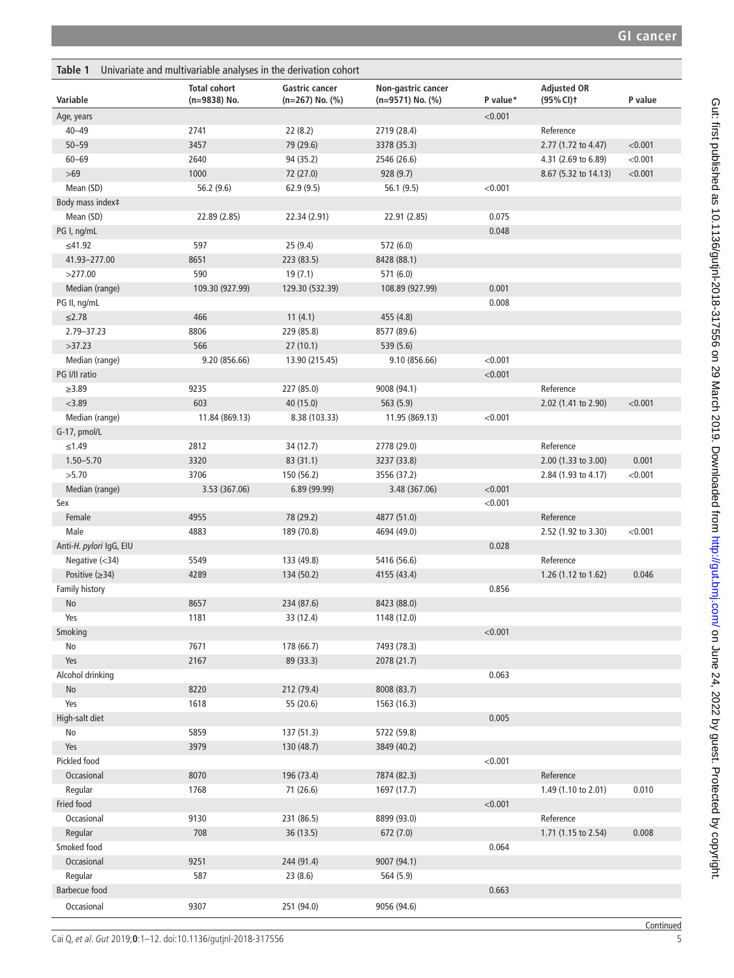<span id="page-4-0"></span>

| Table 1<br>Univariate and multivariable analyses in the derivation cohort |                                     |                                               |                                        |          |                                  |         |
|---------------------------------------------------------------------------|-------------------------------------|-----------------------------------------------|----------------------------------------|----------|----------------------------------|---------|
| Variable                                                                  | <b>Total cohort</b><br>(n=9838) No. | <b>Gastric cancer</b><br>$(n=267)$ No. $(\%)$ | Non-gastric cancer<br>(n=9571) No. (%) | P value* | <b>Adjusted OR</b><br>(95% CI) t | P value |
| Age, years                                                                |                                     |                                               |                                        | < 0.001  |                                  |         |
| $40 - 49$                                                                 | 2741                                | 22 (8.2)                                      | 2719 (28.4)                            |          | Reference                        |         |
| $50 - 59$                                                                 | 3457                                | 79 (29.6)                                     | 3378 (35.3)                            |          | 2.77 (1.72 to 4.47)              | < 0.001 |
| $60 - 69$                                                                 | 2640                                | 94 (35.2)                                     | 2546 (26.6)                            |          | 4.31 (2.69 to 6.89)              | < 0.001 |
| $>69$                                                                     | 1000                                | 72 (27.0)                                     | 928(9.7)                               |          | 8.67 (5.32 to 14.13)             | < 0.001 |
| Mean (SD)                                                                 | 56.2 (9.6)                          | 62.9(9.5)                                     | 56.1(9.5)                              | < 0.001  |                                  |         |
| Body mass index‡                                                          |                                     |                                               |                                        |          |                                  |         |
| Mean (SD)                                                                 | 22.89 (2.85)                        | 22.34 (2.91)                                  | 22.91 (2.85)                           | 0.075    |                                  |         |
| PG I, ng/mL                                                               |                                     |                                               |                                        | 0.048    |                                  |         |
| ≤41.92                                                                    | 597                                 | 25(9.4)                                       | 572 (6.0)                              |          |                                  |         |
| 41.93-277.00                                                              | 8651                                | 223 (83.5)                                    | 8428 (88.1)                            |          |                                  |         |
| >277.00                                                                   | 590                                 | 19(7.1)                                       | 571 (6.0)                              |          |                                  |         |
| Median (range)                                                            | 109.30 (927.99)                     | 129.30 (532.39)                               | 108.89 (927.99)                        | 0.001    |                                  |         |
| PG II, ng/mL                                                              |                                     |                                               |                                        | 0.008    |                                  |         |
| $≤2.78$                                                                   | 466                                 | 11(4.1)                                       | 455 (4.8)                              |          |                                  |         |
| 2.79-37.23                                                                | 8806                                | 229 (85.8)                                    | 8577 (89.6)                            |          |                                  |         |
| >37.23                                                                    | 566                                 | 27(10.1)                                      | 539 (5.6)                              |          |                                  |         |
| Median (range)                                                            | 9.20 (856.66)                       | 13.90 (215.45)                                | 9.10 (856.66)                          | < 0.001  |                                  |         |
| PG I/II ratio                                                             |                                     |                                               |                                        | < 0.001  |                                  |         |
| $\geq 3.89$                                                               | 9235                                | 227 (85.0)                                    | 9008 (94.1)                            |          | Reference                        |         |
| < 3.89                                                                    | 603                                 | 40 (15.0)                                     | 563(5.9)                               |          | 2.02 (1.41 to 2.90)              | < 0.001 |
| Median (range)                                                            | 11.84 (869.13)                      | 8.38 (103.33)                                 | 11.95 (869.13)                         | < 0.001  |                                  |         |
| G-17, pmol/L                                                              |                                     |                                               |                                        |          |                                  |         |
| ≤1.49                                                                     | 2812                                | 34 (12.7)                                     | 2778 (29.0)                            |          | Reference                        |         |
| $1.50 - 5.70$                                                             | 3320                                | 83 (31.1)                                     | 3237 (33.8)                            |          | 2.00 (1.33 to 3.00)              | 0.001   |
| >5.70                                                                     | 3706                                | 150 (56.2)                                    | 3556 (37.2)                            |          | 2.84 (1.93 to 4.17)              | < 0.001 |
| Median (range)                                                            | 3.53 (367.06)                       | 6.89(99.99)                                   | 3.48 (367.06)                          | < 0.001  |                                  |         |
| Sex                                                                       |                                     |                                               |                                        | < 0.001  |                                  |         |
| Female                                                                    | 4955                                | 78 (29.2)                                     | 4877 (51.0)                            |          | Reference                        |         |
| Male                                                                      | 4883                                | 189 (70.8)                                    | 4694 (49.0)                            |          | 2.52 (1.92 to 3.30)              | < 0.001 |
| Anti-H. pylori IgG, EIU                                                   |                                     |                                               |                                        | 0.028    |                                  |         |
| Negative $(<34)$                                                          | 5549                                | 133 (49.8)                                    | 5416 (56.6)                            |          | Reference                        |         |
| Positive $(\geq)34)$                                                      | 4289                                | 134 (50.2)                                    | 4155 (43.4)                            |          | 1.26 (1.12 to 1.62)              | 0.046   |
| Family history                                                            |                                     |                                               |                                        | 0.856    |                                  |         |
| No                                                                        | 8657                                | 234 (87.6)                                    | 8423 (88.0)                            |          |                                  |         |
| Yes                                                                       | 1181                                | 33 (12.4)                                     | 1148 (12.0)                            |          |                                  |         |
| Smoking                                                                   |                                     |                                               |                                        | < 0.001  |                                  |         |
| No                                                                        | 7671                                | 178 (66.7)                                    | 7493 (78.3)                            |          |                                  |         |
| Yes                                                                       | 2167                                | 89 (33.3)                                     | 2078 (21.7)                            |          |                                  |         |
| Alcohol drinking                                                          |                                     |                                               |                                        | 0.063    |                                  |         |
| No                                                                        | 8220                                | 212 (79.4)                                    | 8008 (83.7)                            |          |                                  |         |
| Yes                                                                       | 1618                                | 55 (20.6)                                     | 1563 (16.3)                            |          |                                  |         |
| High-salt diet                                                            |                                     |                                               |                                        | 0.005    |                                  |         |
| No                                                                        | 5859                                | 137 (51.3)                                    | 5722 (59.8)                            |          |                                  |         |
| Yes                                                                       | 3979                                | 130 (48.7)                                    | 3849 (40.2)                            |          |                                  |         |
| Pickled food                                                              |                                     |                                               |                                        | < 0.001  |                                  |         |
| Occasional                                                                | 8070                                | 196 (73.4)                                    | 7874 (82.3)                            |          | Reference                        |         |
| Regular                                                                   | 1768                                | 71 (26.6)                                     | 1697 (17.7)                            |          | 1.49 (1.10 to 2.01)              | 0.010   |
| Fried food                                                                |                                     |                                               |                                        | < 0.001  |                                  |         |
| Occasional                                                                | 9130                                | 231 (86.5)                                    | 8899 (93.0)                            |          | Reference                        |         |
| Regular                                                                   | 708                                 | 36 (13.5)                                     | 672(7.0)                               |          | 1.71 (1.15 to 2.54)              | 0.008   |
| Smoked food                                                               |                                     |                                               |                                        | 0.064    |                                  |         |
| Occasional                                                                | 9251                                | 244 (91.4)                                    | 9007 (94.1)                            |          |                                  |         |
|                                                                           | 587                                 |                                               |                                        |          |                                  |         |
| Regular                                                                   |                                     | 23(8.6)                                       | 564 (5.9)                              |          |                                  |         |
| <b>Barbecue food</b>                                                      |                                     |                                               |                                        | 0.663    |                                  |         |
| Occasional                                                                | 9307                                | 251 (94.0)                                    | 9056 (94.6)                            |          |                                  |         |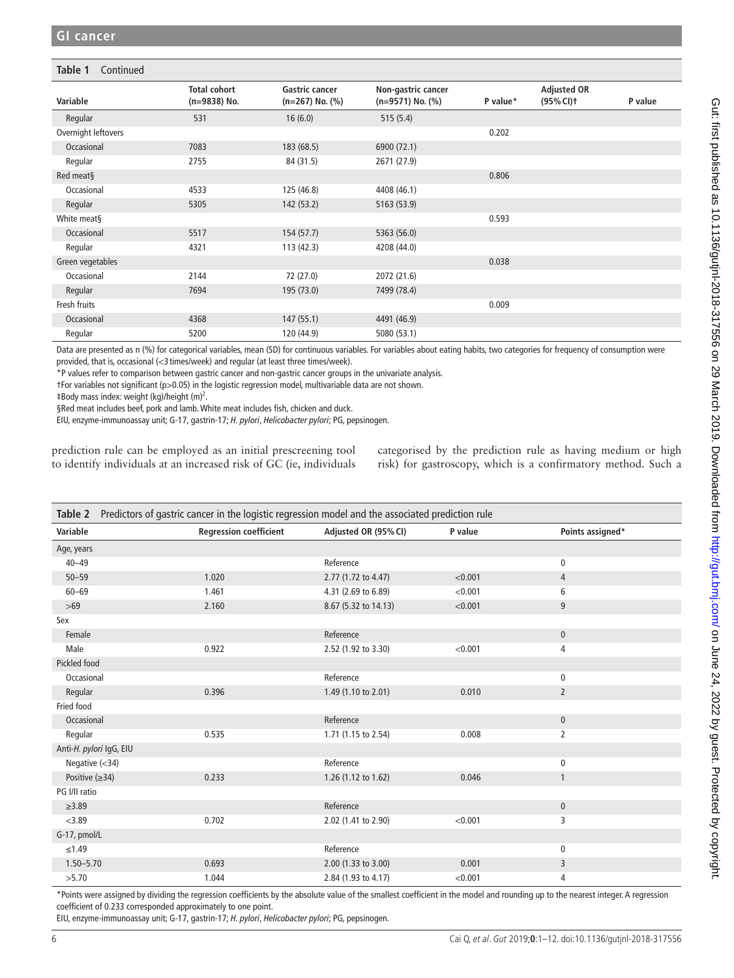#### **Table 1** Continued

| Variable            | <b>Total cohort</b><br>$(n=9838)$ No. | <b>Gastric cancer</b><br>$(n=267)$ No. $(\%)$ | Non-gastric cancer<br>$(n=9571)$ No. $(\%)$ | P value* | <b>Adjusted OR</b><br>(95% CI) t | P value |
|---------------------|---------------------------------------|-----------------------------------------------|---------------------------------------------|----------|----------------------------------|---------|
|                     |                                       |                                               |                                             |          |                                  |         |
| Regular             | 531                                   | 16(6.0)                                       | 515(5.4)                                    |          |                                  |         |
| Overnight leftovers |                                       |                                               |                                             | 0.202    |                                  |         |
| Occasional          | 7083                                  | 183 (68.5)                                    | 6900 (72.1)                                 |          |                                  |         |
| Regular             | 2755                                  | 84 (31.5)                                     | 2671 (27.9)                                 |          |                                  |         |
| Red meat§           |                                       |                                               |                                             | 0.806    |                                  |         |
| Occasional          | 4533                                  | 125 (46.8)                                    | 4408 (46.1)                                 |          |                                  |         |
| Regular             | 5305                                  | 142 (53.2)                                    | 5163 (53.9)                                 |          |                                  |         |
| White meat§         |                                       |                                               |                                             | 0.593    |                                  |         |
| Occasional          | 5517                                  | 154 (57.7)                                    | 5363 (56.0)                                 |          |                                  |         |
| Regular             | 4321                                  | 113(42.3)                                     | 4208 (44.0)                                 |          |                                  |         |
| Green vegetables    |                                       |                                               |                                             | 0.038    |                                  |         |
| Occasional          | 2144                                  | 72 (27.0)                                     | 2072 (21.6)                                 |          |                                  |         |
| Regular             | 7694                                  | 195 (73.0)                                    | 7499 (78.4)                                 |          |                                  |         |
| Fresh fruits        |                                       |                                               |                                             | 0.009    |                                  |         |
| Occasional          | 4368                                  | 147(55.1)                                     | 4491 (46.9)                                 |          |                                  |         |
| Regular             | 5200                                  | 120 (44.9)                                    | 5080 (53.1)                                 |          |                                  |         |

Data are presented as n (%) for categorical variables, mean (SD) for continuous variables. For variables about eating habits, two categories for frequency of consumption were provided, that is, occasional (<3 times/week) and regular (at least three times/week).

\*P values refer to comparison between gastric cancer and non-gastric cancer groups in the univariate analysis.

†For variables not significant (p>0.05) in the logistic regression model, multivariable data are not shown.

 $\text{\#Body mass index: weight (kg)/height (m)^2.}$ 

§Red meat includes beef, pork and lamb. White meat includes fish, chicken and duck.

EIU, enzyme-immunoassay unit; G-17, gastrin-17; *H. pylori*, *Helicobacter pylori*; PG, pepsinogen.

prediction rule can be employed as an initial prescreening tool to identify individuals at an increased risk of GC (ie, individuals categorised by the prediction rule as having medium or high risk) for gastroscopy, which is a confirmatory method. Such a

<span id="page-5-0"></span>

| Predictors of gastric cancer in the logistic regression model and the associated prediction rule<br>Table 2 |                               |                      |         |                  |  |
|-------------------------------------------------------------------------------------------------------------|-------------------------------|----------------------|---------|------------------|--|
| Variable                                                                                                    | <b>Regression coefficient</b> | Adjusted OR (95% CI) | P value | Points assigned* |  |
| Age, years                                                                                                  |                               |                      |         |                  |  |
| $40 - 49$                                                                                                   |                               | Reference            |         | $\mathbf 0$      |  |
| $50 - 59$                                                                                                   | 1.020                         | 2.77 (1.72 to 4.47)  | < 0.001 | $\overline{4}$   |  |
| $60 - 69$                                                                                                   | 1.461                         | 4.31 (2.69 to 6.89)  | < 0.001 | 6                |  |
| $>69$                                                                                                       | 2.160                         | 8.67 (5.32 to 14.13) | < 0.001 | 9                |  |
| Sex                                                                                                         |                               |                      |         |                  |  |
| Female                                                                                                      |                               | Reference            |         | $\pmb{0}$        |  |
| Male                                                                                                        | 0.922                         | 2.52 (1.92 to 3.30)  | < 0.001 | $\overline{4}$   |  |
| <b>Pickled food</b>                                                                                         |                               |                      |         |                  |  |
| Occasional                                                                                                  |                               | Reference            |         | $\mathbf 0$      |  |
| Regular                                                                                                     | 0.396                         | 1.49 (1.10 to 2.01)  | 0.010   | $\overline{2}$   |  |
| Fried food                                                                                                  |                               |                      |         |                  |  |
| Occasional                                                                                                  |                               | Reference            |         | $\mathbf{0}$     |  |
| Regular                                                                                                     | 0.535                         | 1.71 (1.15 to 2.54)  | 0.008   | $\overline{2}$   |  |
| Anti-H. pylori IgG, EIU                                                                                     |                               |                      |         |                  |  |
| Negative $(<34)$                                                                                            |                               | Reference            |         | $\pmb{0}$        |  |
| Positive $(\geq)34)$                                                                                        | 0.233                         | 1.26 (1.12 to 1.62)  | 0.046   | $\mathbf{1}$     |  |
| PG I/II ratio                                                                                               |                               |                      |         |                  |  |
| $\geq 3.89$                                                                                                 |                               | Reference            |         | $\mathbf 0$      |  |
| < 3.89                                                                                                      | 0.702                         | 2.02 (1.41 to 2.90)  | < 0.001 | 3                |  |
| G-17, pmol/L                                                                                                |                               |                      |         |                  |  |
| $≤1.49$                                                                                                     |                               | Reference            |         | $\mathbf 0$      |  |
| $1.50 - 5.70$                                                                                               | 0.693                         | 2.00 (1.33 to 3.00)  | 0.001   | 3                |  |
| >5.70                                                                                                       | 1.044                         | 2.84 (1.93 to 4.17)  | < 0.001 | 4                |  |

\*Points were assigned by dividing the regression coefficients by the absolute value of the smallest coefficient in the model and rounding up to the nearest integer. A regression coefficient of 0.233 corresponded approximately to one point.

EIU, enzyme-immunoassay unit; G-17, gastrin-17; *H. pylori*, *Helicobacter pylori*; PG, pepsinogen.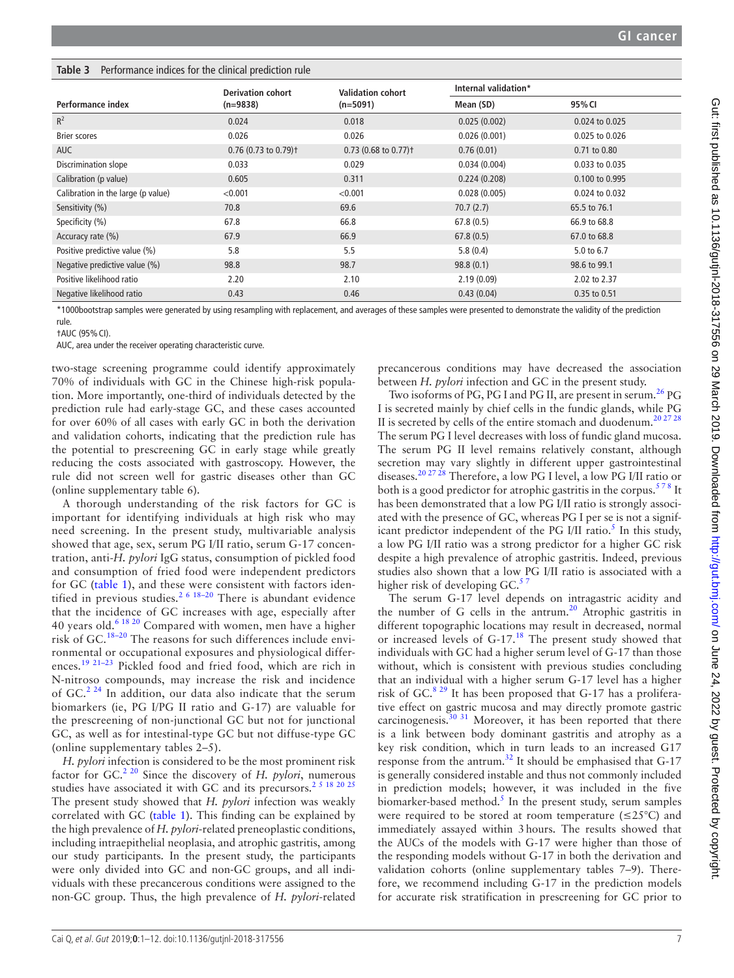#### <span id="page-6-0"></span>**Table 3** Performance indices for the clinical prediction rule

|                                    | <b>Derivation cohort</b>           | <b>Validation cohort</b>           | Internal validation* |                  |
|------------------------------------|------------------------------------|------------------------------------|----------------------|------------------|
| Performance index                  | $(n=9838)$                         | $(n=5091)$                         | Mean (SD)            | 95% CI           |
| $R^2$                              | 0.024                              | 0.018                              | 0.025(0.002)         | 0.024 to 0.025   |
| <b>Brier scores</b>                | 0.026                              | 0.026                              | 0.026(0.001)         | 0.025 to 0.026   |
| <b>AUC</b>                         | $0.76$ (0.73 to 0.79) <sup>+</sup> | $0.73$ (0.68 to 0.77) <sup>+</sup> | 0.76(0.01)           | $0.71$ to $0.80$ |
| Discrimination slope               | 0.033                              | 0.029                              | 0.034(0.004)         | 0.033 to 0.035   |
| Calibration (p value)              | 0.605                              | 0.311                              | 0.224(0.208)         | 0.100 to 0.995   |
| Calibration in the large (p value) | < 0.001                            | < 0.001                            | 0.028(0.005)         | 0.024 to 0.032   |
| Sensitivity (%)                    | 70.8                               | 69.6                               | 70.7(2.7)            | 65.5 to 76.1     |
| Specificity (%)                    | 67.8                               | 66.8                               | 67.8(0.5)            | 66.9 to 68.8     |
| Accuracy rate (%)                  | 67.9                               | 66.9                               | 67.8(0.5)            | 67.0 to 68.8     |
| Positive predictive value (%)      | 5.8                                | 5.5                                | 5.8(0.4)             | 5.0 to 6.7       |
| Negative predictive value (%)      | 98.8                               | 98.7                               | 98.8(0.1)            | 98.6 to 99.1     |
| Positive likelihood ratio          | 2.20                               | 2.10                               | 2.19(0.09)           | 2.02 to 2.37     |
| Negative likelihood ratio          | 0.43                               | 0.46                               | 0.43(0.04)           | 0.35 to 0.51     |

\*1000bootstrap samples were generated by using resampling with replacement, and averages of these samples were presented to demonstrate the validity of the prediction rule.

†AUC (95%CI).

AUC, area under the receiver operating characteristic curve.

two-stage screening programme could identify approximately 70% of individuals with GC in the Chinese high-risk population. More importantly, one-third of individuals detected by the prediction rule had early-stage GC, and these cases accounted for over 60% of all cases with early GC in both the derivation and validation cohorts, indicating that the prediction rule has the potential to prescreening GC in early stage while greatly reducing the costs associated with gastroscopy. However, the rule did not screen well for gastric diseases other than GC (online [supplementary table 6\)](https://dx.doi.org/10.1136/gutjnl-2018-317556).

A thorough understanding of the risk factors for GC is important for identifying individuals at high risk who may need screening. In the present study, multivariable analysis showed that age, sex, serum PG I/II ratio, serum G-17 concentration, anti-*H. pylori* IgG status, consumption of pickled food and consumption of fried food were independent predictors for GC ([table](#page-4-0) 1), and these were consistent with factors iden-tified in previous studies.<sup>[2 6 18–20](#page-10-1)</sup> There is abundant evidence that the incidence of GC increases with age, especially after 40 years old.[6 18 20](#page-10-4) Compared with women, men have a higher risk of GC.[18–20](#page-10-12) The reasons for such differences include environmental or occupational exposures and physiological differences.[19 21–23](#page-10-13) Pickled food and fried food, which are rich in N-nitroso compounds, may increase the risk and incidence of GC. $^{2.24}$  In addition, our data also indicate that the serum biomarkers (ie, PG I/PG II ratio and G-17) are valuable for the prescreening of non-junctional GC but not for junctional GC, as well as for intestinal-type GC but not diffuse-type GC (online [supplementary tables 2–5](https://dx.doi.org/10.1136/gutjnl-2018-317556)).

*H. pylori* infection is considered to be the most prominent risk factor for GC.[2 20](#page-10-1) Since the discovery of *H. pylori*, numerous studies have associated it with GC and its precursors.<sup>[2 5 18 20 25](#page-10-1)</sup> The present study showed that *H. pylori* infection was weakly correlated with GC [\(table](#page-4-0) 1). This finding can be explained by the high prevalence of *H. pylori*-related preneoplastic conditions, including intraepithelial neoplasia, and atrophic gastritis, among our study participants. In the present study, the participants were only divided into GC and non-GC groups, and all individuals with these precancerous conditions were assigned to the non-GC group. Thus, the high prevalence of *H. pylori*-related

precancerous conditions may have decreased the association between *H. pylori* infection and GC in the present study.

Two isoforms of PG, PG I and PG II, are present in serum.<sup>[26](#page-10-14)</sup> PG I is secreted mainly by chief cells in the fundic glands, while PG II is secreted by cells of the entire stomach and duodenum.<sup>20 27 28</sup> The serum PG I level decreases with loss of fundic gland mucosa. The serum PG II level remains relatively constant, although secretion may vary slightly in different upper gastrointestinal diseases.[20 27 28](#page-10-15) Therefore, a low PG I level, a low PG I/II ratio or both is a good predictor for atrophic gastritis in the corpus.<sup>578</sup> It has been demonstrated that a low PG I/II ratio is strongly associated with the presence of GC, whereas PG I per se is not a significant predictor independent of the PG I/II ratio.<sup>5</sup> In this study, a low PG I/II ratio was a strong predictor for a higher GC risk despite a high prevalence of atrophic gastritis. Indeed, previous studies also shown that a low PG I/II ratio is associated with a higher risk of developing  $GC<sup>3</sup>$ 

The serum G-17 level depends on intragastric acidity and the number of G cells in the antrum.<sup>20</sup> Atrophic gastritis in different topographic locations may result in decreased, normal or increased levels of G-17.<sup>[18](#page-10-12)</sup> The present study showed that individuals with GC had a higher serum level of G-17 than those without, which is consistent with previous studies concluding that an individual with a higher serum G-17 level has a higher risk of GC. $8^{29}$  It has been proposed that G-17 has a proliferative effect on gastric mucosa and may directly promote gastric carcinogenesis.<sup>[30 31](#page-10-17)</sup> Moreover, it has been reported that there is a link between body dominant gastritis and atrophy as a key risk condition, which in turn leads to an increased G17 response from the antrum.[32](#page-10-18) It should be emphasised that G-17 is generally considered instable and thus not commonly included in prediction models; however, it was included in the five biomarker-based method.<sup>[5](#page-10-7)</sup> In the present study, serum samples were required to be stored at room temperature  $(\leq 25^{\circ}C)$  and immediately assayed within 3hours. The results showed that the AUCs of the models with G-17 were higher than those of the responding models without G-17 in both the derivation and validation cohorts (online [supplementary tables 7–9](https://dx.doi.org/10.1136/gutjnl-2018-317556)). Therefore, we recommend including G-17 in the prediction models for accurate risk stratification in prescreening for GC prior to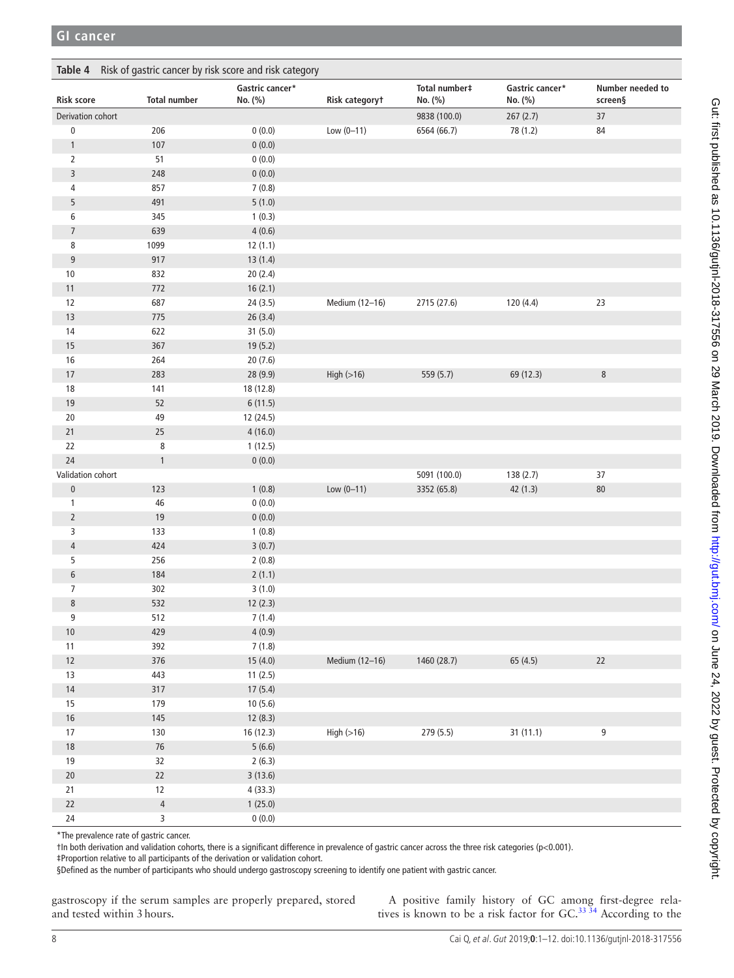<span id="page-7-0"></span>

| Risk of gastric cancer by risk score and risk category<br>Table 4 |                     |                            |                |                          |                            |                             |
|-------------------------------------------------------------------|---------------------|----------------------------|----------------|--------------------------|----------------------------|-----------------------------|
| <b>Risk score</b>                                                 | <b>Total number</b> | Gastric cancer*<br>No. (%) | Risk categoryt | Total number#<br>No. (%) | Gastric cancer*<br>No. (%) | Number needed to<br>screen§ |
| Derivation cohort                                                 |                     |                            |                | 9838 (100.0)             | 267(2.7)                   | $37\,$                      |
| $\pmb{0}$                                                         | 206                 | 0(0.0)                     | $Low (0-11)$   | 6564 (66.7)              | 78 (1.2)                   | 84                          |
| $\mathbf{1}$                                                      | $107$               | 0(0.0)                     |                |                          |                            |                             |
| 2                                                                 | 51                  | 0(0.0)                     |                |                          |                            |                             |
| 3                                                                 | 248                 | 0(0.0)                     |                |                          |                            |                             |
| 4                                                                 | 857                 | 7(0.8)                     |                |                          |                            |                             |
| 5                                                                 | 491                 | 5(1.0)                     |                |                          |                            |                             |
| 6                                                                 | 345                 | 1(0.3)                     |                |                          |                            |                             |
| $\overline{7}$                                                    | 639                 | 4(0.6)                     |                |                          |                            |                             |
| 8                                                                 | 1099                | 12(1.1)                    |                |                          |                            |                             |
| $9\,$                                                             | 917                 | 13(1.4)                    |                |                          |                            |                             |
| 10                                                                | 832                 | 20(2.4)                    |                |                          |                            |                             |
| 11                                                                | 772                 | 16(2.1)                    |                |                          |                            |                             |
| 12                                                                | 687                 | 24(3.5)                    | Medium (12-16) | 2715 (27.6)              | 120 (4.4)                  | 23                          |
| $13$                                                              | 775                 | 26(3.4)                    |                |                          |                            |                             |
| 14                                                                | 622                 | 31(5.0)                    |                |                          |                            |                             |
| 15                                                                | 367                 | 19(5.2)                    |                |                          |                            |                             |
| $16\,$                                                            | 264                 | 20(7.6)                    |                |                          |                            |                             |
| $17\,$                                                            | 283                 | 28 (9.9)                   | High $(>16)$   | 559 (5.7)                | 69 (12.3)                  | $\,8\,$                     |
| 18                                                                | 141                 | 18 (12.8)                  |                |                          |                            |                             |
| 19                                                                | 52                  | 6(11.5)                    |                |                          |                            |                             |
| 20                                                                | 49                  | 12 (24.5)                  |                |                          |                            |                             |
| 21                                                                | $25\,$              | 4(16.0)                    |                |                          |                            |                             |
| 22                                                                | 8                   | 1(12.5)                    |                |                          |                            |                             |
| 24                                                                | $\mathbf{1}$        | 0(0.0)                     |                |                          |                            |                             |
| Validation cohort                                                 |                     |                            |                | 5091 (100.0)             | 138 (2.7)                  | 37                          |
| $\pmb{0}$                                                         | 123                 | 1(0.8)                     | Low $(0 - 11)$ | 3352 (65.8)              | 42(1.3)                    | $80\,$                      |
| $\mathbf{1}$                                                      | 46                  | 0(0.0)                     |                |                          |                            |                             |
| $\overline{2}$                                                    | 19                  | 0(0.0)                     |                |                          |                            |                             |
| 3                                                                 | 133                 | 1(0.8)                     |                |                          |                            |                             |
| $\overline{4}$                                                    | 424                 | 3(0.7)                     |                |                          |                            |                             |
| 5                                                                 | 256                 | 2(0.8)                     |                |                          |                            |                             |
| 6                                                                 | 184                 | 2(1.1)                     |                |                          |                            |                             |
| $\overline{7}$                                                    | 302                 | 3(1.0)                     |                |                          |                            |                             |
| 8                                                                 | 532                 | 12(2.3)                    |                |                          |                            |                             |
| 9                                                                 | 512                 | 7(1.4)                     |                |                          |                            |                             |
| $10$                                                              | 429                 | 4(0.9)                     |                |                          |                            |                             |
| $11$                                                              | 392                 | 7(1.8)                     |                |                          |                            |                             |
| $12$                                                              | 376                 | 15(4.0)                    | Medium (12-16) | 1460 (28.7)              | 65 (4.5)                   | 22                          |
| $13$                                                              | 443                 | 11(2.5)                    |                |                          |                            |                             |
| $14\,$                                                            | $317$               | 17(5.4)                    |                |                          |                            |                             |
| 15                                                                | 179                 | 10(5.6)                    |                |                          |                            |                             |
| $16\,$                                                            | $145$               | 12(8.3)                    |                |                          |                            |                             |
| 17                                                                | 130                 | 16 (12.3)                  | High(>16)      | 279 (5.5)                | 31 (11.1)                  | 9                           |
| $18\,$                                                            | $76\,$              | 5(6.6)                     |                |                          |                            |                             |
| $19$                                                              | 32                  | 2(6.3)                     |                |                          |                            |                             |
| $20\,$                                                            | $22\,$              | 3(13.6)                    |                |                          |                            |                             |
| $21$                                                              | $12$                | 4(33.3)                    |                |                          |                            |                             |
| $22\,$                                                            | $\overline{4}$      | 1(25.0)                    |                |                          |                            |                             |
| $24\,$                                                            | $\overline{3}$      | 0(0.0)                     |                |                          |                            |                             |

\*The prevalence rate of gastric cancer.

†In both derivation and validation cohorts, there is a significant difference in prevalence of gastric cancer across the three risk categories (p<0.001).

‡Proportion relative to all participants of the derivation or validation cohort.

§Defined as the number of participants who should undergo gastroscopy screening to identify one patient with gastric cancer.

gastroscopy if the serum samples are properly prepared, stored and tested within 3hours.

A positive family history of GC among first-degree relatives is known to be a risk factor for  $GC^{3334}$  According to the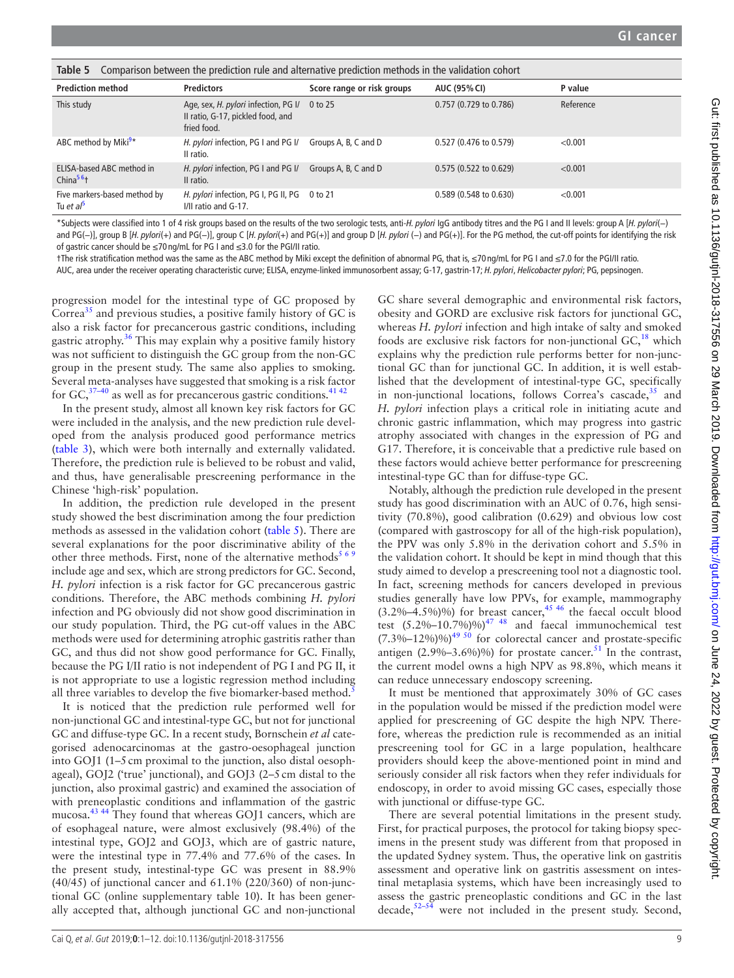<span id="page-8-0"></span>

| Table 5 Comparison between the prediction rule and alternative prediction methods in the validation cohort |                                                                                                 |                            |                                  |           |  |  |
|------------------------------------------------------------------------------------------------------------|-------------------------------------------------------------------------------------------------|----------------------------|----------------------------------|-----------|--|--|
| <b>Prediction method</b>                                                                                   | <b>Predictors</b>                                                                               | Score range or risk groups | <b>AUC (95% CI)</b>              | P value   |  |  |
| This study                                                                                                 | Age, sex, <i>H. pylori</i> infection, PG I/<br>II ratio, G-17, pickled food, and<br>fried food. | 0 to 25                    | 0.757 (0.729 to 0.786)           | Reference |  |  |
| ABC method by Miki <sup>9*</sup>                                                                           | H. pylori infection, PG I and PG I/<br>Il ratio.                                                | Groups A, B, C and D       | 0.527 (0.476 to 0.579)           | < 0.001   |  |  |
| ELISA-based ABC method in<br>$China56$ <sup>+</sup>                                                        | H. pylori infection, PG I and PG I/<br>Il ratio.                                                | Groups A, B, C and D       | $0.575$ (0.522 to 0.629)         | < 0.001   |  |  |
| Five markers-based method by<br>Tu et al                                                                   | H. pylori infection, PG I, PG II, PG<br>I/II ratio and G-17.                                    | 0 to 21                    | $0.589(0.548 \text{ to } 0.630)$ | < 0.001   |  |  |

\*Subjects were classified into 1 of 4 risk groups based on the results of the two serologic tests, anti-*H. pylori* IgG antibody titres and the PG I and II levels: group A [*H. pylori*(−) and PG(−)], group B [*H. pylori*(+) and PG(−)], group C [*H. pylori*(+) and PG(+)] and group D [*H. pylori* (−) and PG(+)]. For the PG method, the cut-off points for identifying the risk of gastric cancer should be ≤70 ng/mL for PG I and ≤3.0 for the PGI/II ratio.

†The risk stratification method was the same as the ABC method by Miki except the definition of abnormal PG, that is, ≤70 ng/mL for PG I and ≤7.0 for the PGI/II ratio.

AUC, area under the receiver operating characteristic curve; ELISA, enzyme-linked immunosorbent assay; G-17, gastrin-17; *H. pylori*, *Helicobacter pylori*; PG, pepsinogen.

progression model for the intestinal type of GC proposed by Correa<sup>35</sup> and previous studies, a positive family history of GC is also a risk factor for precancerous gastric conditions, including gastric atrophy. $36$  This may explain why a positive family history was not sufficient to distinguish the GC group from the non-GC group in the present study. The same also applies to smoking. Several meta-analyses have suggested that smoking is a risk factor for  $GC<sub>3</sub><sup>37-40</sup>$  as well as for precancerous gastric conditions.<sup>[41 42](#page-10-23)</sup>

In the present study, almost all known key risk factors for GC were included in the analysis, and the new prediction rule developed from the analysis produced good performance metrics ([table](#page-6-0) 3), which were both internally and externally validated. Therefore, the prediction rule is believed to be robust and valid, and thus, have generalisable prescreening performance in the Chinese 'high-risk' population.

In addition, the prediction rule developed in the present study showed the best discrimination among the four prediction methods as assessed in the validation cohort [\(table](#page-8-0) 5). There are several explanations for the poor discriminative ability of the other three methods. First, none of the alternative methods<sup>569</sup> include age and sex, which are strong predictors for GC. Second, *H. pylori* infection is a risk factor for GC precancerous gastric conditions. Therefore, the ABC methods combining *H. pylori* infection and PG obviously did not show good discrimination in our study population. Third, the PG cut-off values in the ABC methods were used for determining atrophic gastritis rather than GC, and thus did not show good performance for GC. Finally, because the PG I/II ratio is not independent of PG I and PG II, it is not appropriate to use a logistic regression method including all three variables to develop the five biomarker-based method.<sup>[5](#page-10-7)</sup>

It is noticed that the prediction rule performed well for non-junctional GC and intestinal-type GC, but not for junctional GC and diffuse-type GC. In a recent study, Bornschein *et al* categorised adenocarcinomas at the gastro-oesophageal junction into GOJ1 (1–5cm proximal to the junction, also distal oesophageal), GOJ2 ('true' junctional), and GOJ3 (2–5cm distal to the junction, also proximal gastric) and examined the association of with preneoplastic conditions and inflammation of the gastric mucosa.<sup>43 44</sup> They found that whereas GOJ1 cancers, which are of esophageal nature, were almost exclusively (98.4%) of the intestinal type, GOJ2 and GOJ3, which are of gastric nature, were the intestinal type in 77.4% and 77.6% of the cases. In the present study, intestinal-type GC was present in 88.9% (40/45) of junctional cancer and 61.1% (220/360) of non-junctional GC (online [supplementary table 10](https://dx.doi.org/10.1136/gutjnl-2018-317556)). It has been generally accepted that, although junctional GC and non-junctional

GC share several demographic and environmental risk factors, obesity and GORD are exclusive risk factors for junctional GC, whereas *H. pylori* infection and high intake of salty and smoked foods are exclusive risk factors for non-junctional  $GC<sub>18</sub><sup>18</sup>$  which explains why the prediction rule performs better for non-junctional GC than for junctional GC. In addition, it is well established that the development of intestinal-type GC, specifically in non-junctional locations, follows Correa's cascade, $35$  and *H. pylori* infection plays a critical role in initiating acute and chronic gastric inflammation, which may progress into gastric atrophy associated with changes in the expression of PG and G17. Therefore, it is conceivable that a predictive rule based on these factors would achieve better performance for prescreening intestinal-type GC than for diffuse-type GC.

Notably, although the prediction rule developed in the present study has good discrimination with an AUC of 0.76, high sensitivity (70.8%), good calibration (0.629) and obvious low cost (compared with gastroscopy for all of the high-risk population), the PPV was only 5.8% in the derivation cohort and 5.5% in the validation cohort. It should be kept in mind though that this study aimed to develop a prescreening tool not a diagnostic tool. In fact, screening methods for cancers developed in previous studies generally have low PPVs, for example, mammography  $(3.2\% - 4.5\%)$ %) for breast cancer,<sup>[45 46](#page-11-1)</sup> the faecal occult blood test  $(5.2\% - 10.7\%) \%$ <sup>47 48</sup> and faecal immunochemical test  $(7.3\% - 12\%)$ %)<sup>49 50</sup> for colorectal cancer and prostate-specific antigen  $(2.9\% - 3.6\%)$ %) for prostate cancer.<sup>51</sup> In the contrast, the current model owns a high NPV as 98.8%, which means it can reduce unnecessary endoscopy screening.

It must be mentioned that approximately 30% of GC cases in the population would be missed if the prediction model were applied for prescreening of GC despite the high NPV. Therefore, whereas the prediction rule is recommended as an initial prescreening tool for GC in a large population, healthcare providers should keep the above-mentioned point in mind and seriously consider all risk factors when they refer individuals for endoscopy, in order to avoid missing GC cases, especially those with junctional or diffuse-type GC.

There are several potential limitations in the present study. First, for practical purposes, the protocol for taking biopsy specimens in the present study was different from that proposed in the updated Sydney system. Thus, the operative link on gastritis assessment and operative link on gastritis assessment on intestinal metaplasia systems, which have been increasingly used to assess the gastric preneoplastic conditions and GC in the last decade, $52-54$  were not included in the present study. Second,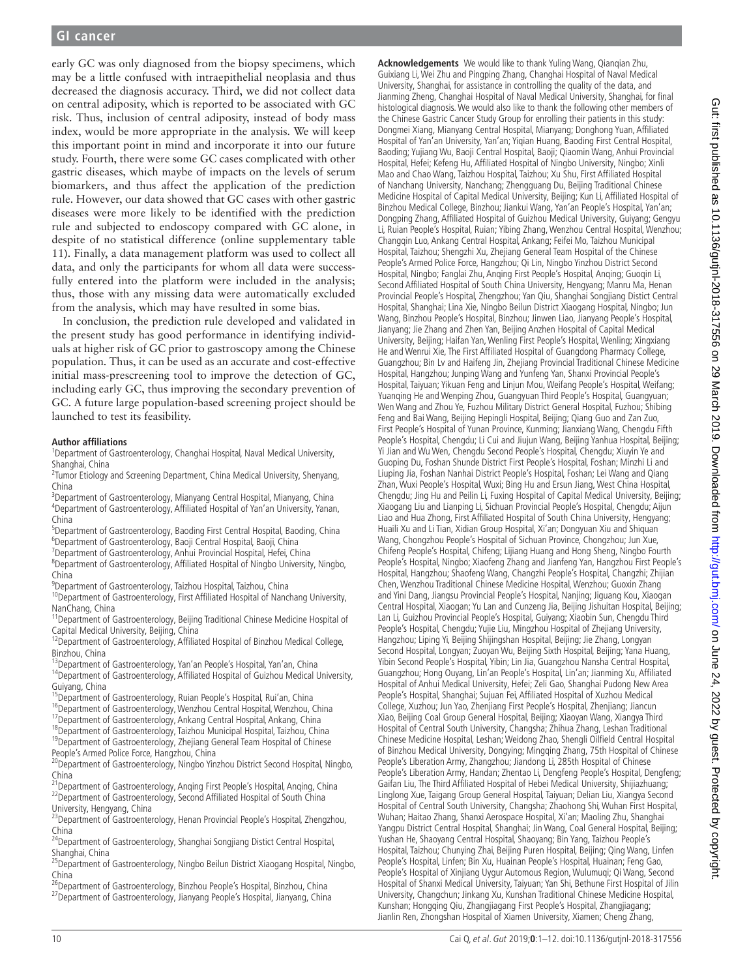early GC was only diagnosed from the biopsy specimens, which may be a little confused with intraepithelial neoplasia and thus decreased the diagnosis accuracy. Third, we did not collect data on central adiposity, which is reported to be associated with GC risk. Thus, inclusion of central adiposity, instead of body mass index, would be more appropriate in the analysis. We will keep this important point in mind and incorporate it into our future study. Fourth, there were some GC cases complicated with other gastric diseases, which maybe of impacts on the levels of serum biomarkers, and thus affect the application of the prediction rule. However, our data showed that GC cases with other gastric diseases were more likely to be identified with the prediction rule and subjected to endoscopy compared with GC alone, in despite of no statistical difference (online [supplementary table](https://dx.doi.org/10.1136/gutjnl-2018-317556)  [11](https://dx.doi.org/10.1136/gutjnl-2018-317556)). Finally, a data management platform was used to collect all data, and only the participants for whom all data were successfully entered into the platform were included in the analysis; thus, those with any missing data were automatically excluded from the analysis, which may have resulted in some bias.

In conclusion, the prediction rule developed and validated in the present study has good performance in identifying individuals at higher risk of GC prior to gastroscopy among the Chinese population. Thus, it can be used as an accurate and cost-effective initial mass-prescreening tool to improve the detection of GC, including early GC, thus improving the secondary prevention of GC. A future large population-based screening project should be launched to test its feasibility.

#### **Author affiliations**

<sup>1</sup>Department of Gastroenterology, Changhai Hospital, Naval Medical University, Shanghai, China <sup>2</sup>

<sup>2</sup>Tumor Etiology and Screening Department, China Medical University, Shenyang, China

<sup>3</sup> Department of Gastroenterology, Mianyang Central Hospital, Mianyang, China<br><sup>4</sup> Department of Gastroenterology, Affiliated Hospital of Vanjan University, Vana Department of Gastroenterology, Affiliated Hospital of Yan'an University, Yanan, China

<sup>5</sup> Department of Gastroenterology, Baoding First Central Hospital, Baoding, China<br><sup>6</sup> Department of Gastroenterology, Baoii Central Hospital, Baoii, China <sup>6</sup>Department of Gastroenterology, Baoji Central Hospital, Baoji, China

<sup>7</sup>Department of Gastroenterology, Anhui Provincial Hospital, Hefei, China

Department of Gastroenterology, Affiliated Hospital of Ningbo University, Ningbo, China

<sup>9</sup>Department of Gastroenterology, Taizhou Hospital, Taizhou, China

 $10$ Department of Gastroenterology, First Affiliated Hospital of Nanchang University, Nanchang, China

<sup>11</sup>Department of Gastroenterology, Beijing Traditional Chinese Medicine Hospital of Capital Medical University, Beijing, China<br><sup>12</sup>Department of Gastroenterology, Affiliated Hospital of Binzhou Medical College,

Binzhou, China<br><sup>13</sup>Department of Gastroenterology, Yan'an People's Hospital, Yan'an, China<br><sup>14</sup>Department of Gastroenterology, Affiliated Hospital of Guizhou Medical University,

Guiyang, China<br><sup>15</sup>Department of Gastroenterology, Ruian People's Hospital, Rui'an, China<br><sup>16</sup>Department of Gastroenterology, Wenzhou Central Hospital, Wenzhou, China<br><sup>17</sup>Department of Gastroenterology, Ankang Central Hosp

<sup>20</sup>Department of Gastroenterology, Ningbo Yinzhou District Second Hospital, Ningbo,

China<br><sup>21</sup>Department of Gastroenterology, Anqing First People's Hospital, Anqing, China<br><sup>22</sup>Department of Gastroenterology, Second Affiliated Hospital of South China <sup>22</sup>Department of Gastroenterology, Second Affiliated Hospital of South China<br>University, Hengyang, China<br><sup>23</sup>Department of Gastroenterology, Henan Provincial People's Hospital, Zhengzhou,

China 24Department of Gastroenterology, Shanghai Songjiang Distict Central Hospital,

Shanghai, China<br><sup>25</sup>Department of Gastroenterology, Ningbo Beilun District Xiaogang Hospital, Ningbo, China<br><sup>26</sup>Department of Gastroenterology, Binzhou People's Hospital, Binzhou, China

<sup>27</sup>Department of Gastroenterology, Jianyang People's Hospital, Jianyang, China

**Acknowledgements** We would like to thank Yuling Wang, Qianqian Zhu, Guixiang Li, Wei Zhu and Pingping Zhang, Changhai Hospital of Naval Medical University, Shanghai, for assistance in controlling the quality of the data, and Jianming Zheng, Changhai Hospital of Naval Medical University, Shanghai, for final histological diagnosis. We would also like to thank the following other members of the Chinese Gastric Cancer Study Group for enrolling their patients in this study: Dongmei Xiang, Mianyang Central Hospital, Mianyang; Donghong Yuan, Affiliated Hospital of Yan'an University, Yan'an; Yiqian Huang, Baoding First Central Hospital, Baoding; Yujiang Wu, Baoji Central Hospital, Baoji; Qiaomin Wang, Anhui Provincial Hospital, Hefei; Kefeng Hu, Affiliated Hospital of Ningbo University, Ningbo; Xinli Mao and Chao Wang, Taizhou Hospital, Taizhou; Xu Shu, First Affiliated Hospital of Nanchang University, Nanchang; Zhengguang Du, Beijing Traditional Chinese Medicine Hospital of Capital Medical University, Beijing; Kun Li, Affiliated Hospital of Binzhou Medical College, Binzhou; Jiankui Wang, Yan'an People's Hospital, Yan'an; Dongping Zhang, Affiliated Hospital of Guizhou Medical University, Guiyang; Gengyu Li, Ruian People's Hospital, Ruian; Yibing Zhang, Wenzhou Central Hospital, Wenzhou; Changqin Luo, Ankang Central Hospital, Ankang; Feifei Mo, Taizhou Municipal Hospital, Taizhou; Shengzhi Xu, Zhejiang General Team Hospital of the Chinese People's Armed Police Force, Hangzhou; Qi Lin, Ningbo Yinzhou District Second Hospital, Ningbo; Fanglai Zhu, Anqing First People's Hospital, Anqing; Guoqin Li, Second Affiliated Hospital of South China University, Hengyang; Manru Ma, Henan Provincial People's Hospital, Zhengzhou; Yan Qiu, Shanghai Songjiang Distict Central Hospital, Shanghai; Lina Xie, Ningbo Beilun District Xiaogang Hospital, Ningbo; Jun Wang, Binzhou People's Hospital, Binzhou; Jinwen Liao, Jianyang People's Hospital, Jianyang; Jie Zhang and Zhen Yan, Beijing Anzhen Hospital of Capital Medical University, Beijing; Haifan Yan, Wenling First People's Hospital, Wenling; Xingxiang He and Wenrui Xie, The First Affiliated Hospital of Guangdong Pharmacy College, Guangzhou; Bin Lv and Haifeng Jin, Zhejiang Provincial Traditional Chinese Medicine Hospital, Hangzhou; Junping Wang and Yunfeng Yan, Shanxi Provincial People's Hospital, Taiyuan; Yikuan Feng and Linjun Mou, Weifang People's Hospital, Weifang; Yuanqing He and Wenping Zhou, Guangyuan Third People's Hospital, Guangyuan; Wen Wang and Zhou Ye, Fuzhou Military District General Hospital, Fuzhou; Shibing Feng and Bai Wang, Beijing Hepingli Hospital, Beijing; Qiang Guo and Zan Zuo, First People's Hospital of Yunan Province, Kunming; Jianxiang Wang, Chengdu Fifth People's Hospital, Chengdu; Li Cui and Jiujun Wang, Beijing Yanhua Hospital, Beijing; Yi Jian and Wu Wen, Chengdu Second People's Hospital, Chengdu; Xiuyin Ye and Guoping Du, Foshan Shunde District First People's Hospital, Foshan; Minzhi Li and Liuping Jia, Foshan Nanhai District People's Hospital, Foshan; Lei Wang and Qiang Zhan, Wuxi People's Hospital, Wuxi; Bing Hu and Ersun Jiang, West China Hospital, Chengdu; Jing Hu and Peilin Li, Fuxing Hospital of Capital Medical University, Beijing; Xiaogang Liu and Lianping Li, Sichuan Provincial People's Hospital, Chengdu; Aijun Liao and Hua Zhong, First Affiliated Hospital of South China University, Hengyang; Huaili Xu and Li Tian, Xidian Group Hospital, Xi'an; Dongyuan Xiu and Shiquan Wang, Chongzhou People's Hospital of Sichuan Province, Chongzhou; Jun Xue, Chifeng People's Hospital, Chifeng; Lijiang Huang and Hong Sheng, Ningbo Fourth People's Hospital, Ningbo; Xiaofeng Zhang and Jianfeng Yan, Hangzhou First People's Hospital, Hangzhou; Shaofeng Wang, Changzhi People's Hospital, Changzhi; Zhijian Chen, Wenzhou Traditional Chinese Medicine Hospital, Wenzhou; Guoxin Zhang and Yini Dang, Jiangsu Provincial People's Hospital, Nanjing; Jiguang Kou, Xiaogan Central Hospital, Xiaogan; Yu Lan and Cunzeng Jia, Beijing Jishuitan Hospital, Beijing; Lan Li, Guizhou Provincial People's Hospital, Guiyang; Xiaobin Sun, Chengdu Third People's Hospital, Chengdu; Yujie Liu, Mingzhou Hospital of Zhejiang University, Hangzhou; Liping Yi, Beijing Shijingshan Hospital, Beijing; Jie Zhang, Longyan Second Hospital, Longyan; Zuoyan Wu, Beijing Sixth Hospital, Beijing; Yana Huang, Yibin Second People's Hospital, Yibin; Lin Jia, Guangzhou Nansha Central Hospital, Guangzhou; Hong Ouyang, Lin'an People's Hospital, Lin'an; Jianming Xu, Affiliated Hospital of Anhui Medical University, Hefei; Zeli Gao, Shanghai Pudong New Area People's Hospital, Shanghai; Sujuan Fei, Affiliated Hospital of Xuzhou Medical College, Xuzhou; Jun Yao, Zhenjiang First People's Hospital, Zhenjiang; Jiancun Xiao, Beijing Coal Group General Hospital, Beijing; Xiaoyan Wang, Xiangya Third Hospital of Central South University, Changsha; Zhihua Zhang, Leshan Traditional Chinese Medicine Hospital, Leshan; Weidong Zhao, Shengli Oilfield Central Hospital of Binzhou Medical University, Dongying; Mingqing Zhang, 75th Hospital of Chinese People's Liberation Army, Zhangzhou; Jiandong Li, 285th Hospital of Chinese People's Liberation Army, Handan; Zhentao Li, Dengfeng People's Hospital, Dengfeng; Gaifan Liu, The Third Affiliated Hospital of Hebei Medical University, Shijiazhuang; Linglong Xue, Taigang Group General Hospital, Taiyuan; Delian Liu, Xiangya Second Hospital of Central South University, Changsha; Zhaohong Shi, Wuhan First Hospital, Wuhan; Haitao Zhang, Shanxi Aerospace Hospital, Xi'an; Maoling Zhu, Shanghai Yangpu District Central Hospital, Shanghai; Jin Wang, Coal General Hospital, Beijing; Yushan He, Shaoyang Central Hospital, Shaoyang; Bin Yang, Taizhou People's Hospital, Taizhou; Chunying Zhai, Beijing Puren Hospital, Beijing; Qing Wang, Linfen People's Hospital, Linfen; Bin Xu, Huainan People's Hospital, Huainan; Feng Gao, People's Hospital of Xinjiang Uygur Automous Region, Wulumuqi; Qi Wang, Second Hospital of Shanxi Medical University, Taiyuan; Yan Shi, Bethune First Hospital of Jilin University, Changchun; Jinkang Xu, Kunshan Traditional Chinese Medicine Hospital, Kunshan; Hongqing Qiu, Zhangjiagang First People's Hospital, Zhangjiagang; Jianlin Ren, Zhongshan Hospital of Xiamen University, Xiamen; Cheng Zhang,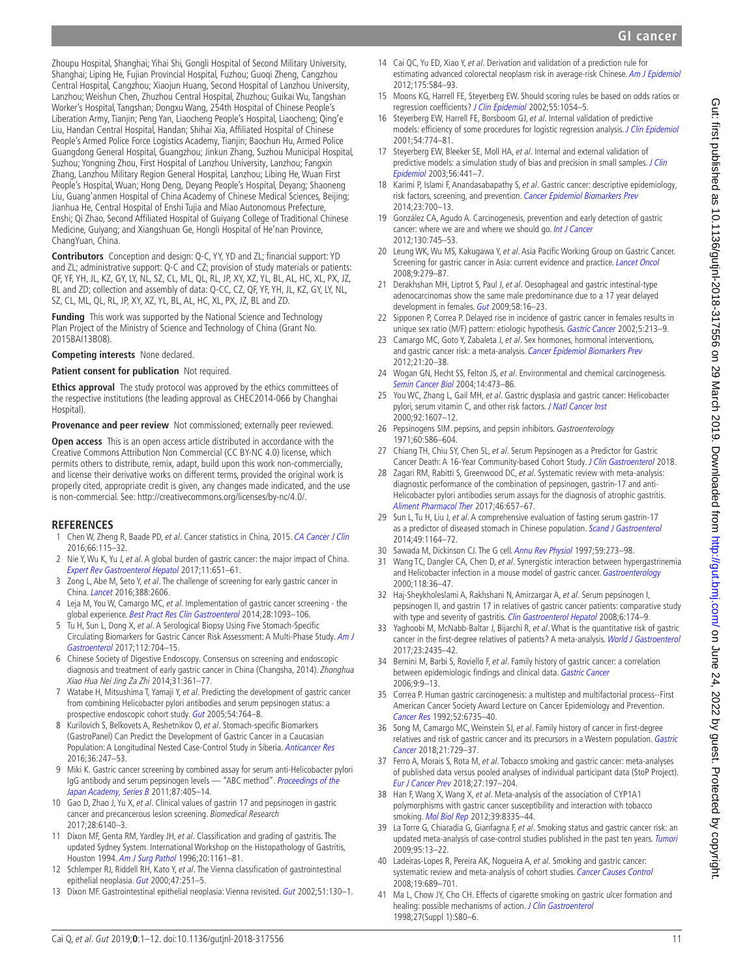Gut first published as 10.1136/gutjnl-2018-317556 on 29 March 2019. Downloaded from http://gut.bmj.com/ on June 24, 2022 by guest. Protected by copyright Gut: first published as 10.1136/gutjnl-2018-317556 on 29 March 2019. Downloaded from <http://gut.bmj.com/> on June 24, 2022 by guest. Protected by copyright.

Zhoupu Hospital, Shanghai; Yihai Shi, Gongli Hospital of Second Military University, Shanghai; Liping He, Fujian Provincial Hospital, Fuzhou; Guoqi Zheng, Cangzhou Central Hospital, Cangzhou; Xiaojun Huang, Second Hospital of Lanzhou University, Lanzhou; Weishun Chen, Zhuzhou Central Hospital, Zhuzhou; Guikai Wu, Tangshan Worker's Hospital, Tangshan; Dongxu Wang, 254th Hospital of Chinese People's Liberation Army, Tianjin; Peng Yan, Liaocheng People's Hospital, Liaocheng; Qing'e Liu, Handan Central Hospital, Handan; Shihai Xia, Affiliated Hospital of Chinese People's Armed Police Force Logistics Academy, Tianjin; Baochun Hu, Armed Police Guangdong General Hospital, Guangzhou; Jinkun Zhang, Suzhou Municipal Hospital, Suzhou; Yongning Zhou, First Hospital of Lanzhou University, Lanzhou; Fangxin Zhang, Lanzhou Military Region General Hospital, Lanzhou; Libing He, Wuan First People's Hospital, Wuan; Hong Deng, Deyang People's Hospital, Deyang; Shaoneng Liu, Guang'anmen Hospital of China Academy of Chinese Medical Sciences, Beijing; Jianhua He, Central Hospital of Enshi Tujia and Miao Autonomous Prefecture, Enshi; Qi Zhao, Second Affiliated Hospital of Guiyang College of Traditional Chinese Medicine, Guiyang; and Xiangshuan Ge, Hongli Hospital of He'nan Province, ChangYuan, China.

**Contributors** Conception and design: Q-C, YY, YD and ZL; financial support: YD and ZL; administrative support: Q-C and CZ; provision of study materials or patients: QF, YF, YH, JL, KZ, GY, LY, NL, SZ, CL, ML, QL, RL, JP, XY, XZ, YL, BL, AL, HC, XL, PX, JZ, BL and ZD; collection and assembly of data: Q-CC, CZ, QF, YF, YH, JL, KZ, GY, LY, NL, SZ, CL, ML, QL, RL, JP, XY, XZ, YL, BL, AL, HC, XL, PX, JZ, BL and ZD.

**Funding** This work was supported by the National Science and Technology Plan Project of the Ministry of Science and Technology of China (Grant No. 2015BAI13B08).

**Competing interests** None declared.

#### **Patient consent for publication** Not required.

**Ethics approval** The study protocol was approved by the ethics committees of the respective institutions (the leading approval as CHEC2014-066 by Changhai Hospital).

**Provenance and peer review** Not commissioned; externally peer reviewed.

**Open access** This is an open access article distributed in accordance with the Creative Commons Attribution Non Commercial (CC BY-NC 4.0) license, which permits others to distribute, remix, adapt, build upon this work non-commercially, and license their derivative works on different terms, provided the original work is properly cited, appropriate credit is given, any changes made indicated, and the use is non-commercial. See: <http://creativecommons.org/licenses/by-nc/4.0/>.

#### **References**

- <span id="page-10-0"></span>1 Chen W, Zheng R, Baade PD, et al. Cancer statistics in China, 2015. [CA Cancer J Clin](http://dx.doi.org/10.3322/caac.21338) 2016;66:115–32.
- <span id="page-10-1"></span>2 Nie Y, Wu K, Yu J, et al. A global burden of gastric cancer: the major impact of China. [Expert Rev Gastroenterol Hepatol](http://dx.doi.org/10.1080/17474124.2017.1312342) 2017;11:651–61.
- <span id="page-10-2"></span>3 Zong L, Abe M, Seto Y, et al. The challenge of screening for early gastric cancer in China. [Lancet](http://dx.doi.org/10.1016/S0140-6736(16)32226-7) 2016;388:2606.
- <span id="page-10-3"></span>4 Leja M, You W, Camargo MC, et al. Implementation of gastric cancer screening - the global experience. [Best Pract Res Clin Gastroenterol](http://dx.doi.org/10.1016/j.bpg.2014.09.005) 2014;28:1093-106.
- <span id="page-10-7"></span>5 Tu H, Sun L, Dong X, et al. A Serological Biopsy Using Five Stomach-Specific Circulating Biomarkers for Gastric Cancer Risk Assessment: A Multi-Phase Study. [Am J](http://dx.doi.org/10.1038/ajg.2017.55)  [Gastroenterol](http://dx.doi.org/10.1038/ajg.2017.55) 2017;112:704–15.
- <span id="page-10-4"></span>6 Chinese Society of Digestive Endoscopy. Consensus on screening and endoscopic diagnosis and treatment of early gastric cancer in China (Changsha, 2014). Zhonghua Xiao Hua Nei Jing Za Zhi 2014;31:361–77.
- <span id="page-10-5"></span>7 Watabe H, Mitsushima T, Yamaji Y, et al. Predicting the development of gastric cancer from combining Helicobacter pylori antibodies and serum pepsinogen status: a prospective endoscopic cohort study. [Gut](http://dx.doi.org/10.1136/gut.2004.055400) 2005;54:764–8.
- <span id="page-10-16"></span>8 Kurilovich S, Belkovets A, Reshetnikov O, et al. Stomach-specific Biomarkers (GastroPanel) Can Predict the Development of Gastric Cancer in a Caucasian Population: A Longitudinal Nested Case-Control Study in Siberia. [Anticancer Res](http://www.ncbi.nlm.nih.gov/pubmed/26722050) 2016;36:247–53.
- <span id="page-10-6"></span>9 Miki K. Gastric cancer screening by combined assay for serum anti-Helicobacter pylori IgG antibody and serum pepsinogen levels - "ABC method". Proceedings of the [Japan Academy, Series B](http://dx.doi.org/10.2183/pjab.87.405) 2011;87:405–14.
- 10 Gao D, Zhao J, Yu X, et al. Clinical values of gastrin 17 and pepsinogen in gastric cancer and precancerous lesion screening. Biomedical Research 2017;28:6140–3.
- <span id="page-10-8"></span>11 Dixon MF, Genta RM, Yardley JH, et al. Classification and grading of gastritis. The updated Sydney System. International Workshop on the Histopathology of Gastritis, Houston 1994. [Am J Surg Pathol](http://www.ncbi.nlm.nih.gov/pubmed/8827022) 1996;20:1161–81.
- <span id="page-10-9"></span>12 Schlemper RJ, Riddell RH, Kato Y, et al. The Vienna classification of gastrointestinal epithelial neoplasia. [Gut](http://dx.doi.org/10.1136/gut.47.2.251) 2000;47:251-5.
- 13 Dixon MF. Gastrointestinal epithelial neoplasia: Vienna revisited. [Gut](http://dx.doi.org/10.1136/gut.51.1.130) 2002;51:130-1.
- <span id="page-10-10"></span>14 Cai QC, Yu ED, Xiao Y, et al. Derivation and validation of a prediction rule for estimating advanced colorectal neoplasm risk in average-risk Chinese. [Am J Epidemiol](http://dx.doi.org/10.1093/aje/kwr337) 2012;175:584–93.
- 15 Moons KG, Harrell FE, Steyerberg EW. Should scoring rules be based on odds ratios or regression coefficients? [J Clin Epidemiol](http://dx.doi.org/10.1016/S0895-4356(02)00453-5) 2002;55:1054–5.
- <span id="page-10-11"></span>16 Steyerberg EW, Harrell FE, Borsboom GJ, et al. Internal validation of predictive models: efficiency of some procedures for logistic regression analysis. [J Clin Epidemiol](http://www.ncbi.nlm.nih.gov/pubmed/11470385) 2001;54:774–81.
- 17 Steyerberg EW, Bleeker SE, Moll HA, et al. Internal and external validation of predictive models: a simulation study of bias and precision in small samples. J Clin [Epidemiol](http://dx.doi.org/10.1016/S0895-4356(03)00047-7) 2003;56:441–7.
- <span id="page-10-12"></span>18 Karimi P, Islami F, Anandasabapathy S, et al. Gastric cancer: descriptive epidemiology, risk factors, screening, and prevention. [Cancer Epidemiol Biomarkers Prev](http://dx.doi.org/10.1158/1055-9965.EPI-13-1057) 2014;23:700–13.
- <span id="page-10-13"></span>19 González CA, Agudo A. Carcinogenesis, prevention and early detection of gastric cancer: where we are and where we should go. [Int J Cancer](http://dx.doi.org/10.1002/ijc.26430) 2012;130:745–53.
- <span id="page-10-15"></span>20 Leung WK, Wu MS, Kakugawa Y, et al. Asia Pacific Working Group on Gastric Cancer. Screening for gastric cancer in Asia: current evidence and practice. [Lancet Oncol](http://dx.doi.org/10.1016/S1470-2045(08)70072-X) 2008;9:279–87.
- 21 Derakhshan MH, Liptrot S, Paul J, et al. Oesophageal and gastric intestinal-type adenocarcinomas show the same male predominance due to a 17 year delayed development in females. [Gut](http://dx.doi.org/10.1136/gut.2008.161331) 2009:58:16-23.
- 22 Sipponen P, Correa P. Delayed rise in incidence of gastric cancer in females results in unique sex ratio (M/F) pattern: etiologic hypothesis. [Gastric Cancer](http://dx.doi.org/10.1007/s101200200037) 2002;5:213-9.
- 23 Camargo MC, Goto Y, Zabaleta J, et al. Sex hormones, hormonal interventions, and gastric cancer risk: a meta-analysis. [Cancer Epidemiol Biomarkers Prev](http://dx.doi.org/10.1158/1055-9965.EPI-11-0834) 2012;21:20–38.
- 24 Wogan GN, Hecht SS, Felton JS, et al. Environmental and chemical carcinogenesis. [Semin Cancer Biol](http://dx.doi.org/10.1016/j.semcancer.2004.06.010) 2004;14:473–86.
- 25 You WC, Zhang L, Gail MH, et al. Gastric dysplasia and gastric cancer: Helicobacter pylori, serum vitamin C, and other risk factors. [J Natl Cancer Inst](http://dx.doi.org/10.1093/jnci/92.19.1607) 2000;92:1607–12.
- <span id="page-10-14"></span>26 Pepsinogens SIM. pepsins, and pepsin inhibitors. Gastroenterology 1971;60:586–604.
- 27 Chiang TH, Chiu SY, Chen SL, et al. Serum Pepsinogen as a Predictor for Gastric Cancer Death: A 16-Year Community-based Cohort Study. [J Clin Gastroenterol](http://dx.doi.org/10.1097/MCG.0000000000000992) 2018.
- 28 Zagari RM, Rabitti S, Greenwood DC, et al. Systematic review with meta-analysis: diagnostic performance of the combination of pepsinogen, gastrin-17 and anti-Helicobacter pylori antibodies serum assays for the diagnosis of atrophic gastritis. [Aliment Pharmacol Ther](http://dx.doi.org/10.1111/apt.14248) 2017;46:657–67.
- 29 Sun L, Tu H, Liu J, et al. A comprehensive evaluation of fasting serum gastrin-17 as a predictor of diseased stomach in Chinese population. [Scand J Gastroenterol](http://dx.doi.org/10.3109/00365521.2014.950693) 2014;49:1164–72.
- <span id="page-10-17"></span>30 Sawada M, Dickinson CJ. The G cell. [Annu Rev Physiol](http://dx.doi.org/10.1146/annurev.physiol.59.1.273) 1997;59:273–98.
- 31 Wang TC, Dangler CA, Chen D, et al. Synergistic interaction between hypergastrinemia and Helicobacter infection in a mouse model of gastric cancer. [Gastroenterology](http://dx.doi.org/10.1016/S0016-5085(00)70412-4) 2000;118:36–47.
- <span id="page-10-18"></span>32 Haj-Sheykholeslami A, Rakhshani N, Amirzargar A, et al. Serum pepsinogen I, pepsinogen II, and gastrin 17 in relatives of gastric cancer patients: comparative study with type and severity of gastritis. [Clin Gastroenterol Hepatol](http://dx.doi.org/10.1016/j.cgh.2007.11.016) 2008;6:174-9.
- <span id="page-10-19"></span>33 Yaghoobi M, McNabb-Baltar J, Bijarchi R, et al. What is the quantitative risk of gastric cancer in the first-degree relatives of patients? A meta-analysis. [World J Gastroenterol](http://dx.doi.org/10.3748/wjg.v23.i13.2435) 2017;23:2435–42.
- 34 Bernini M, Barbi S, Roviello F, et al. Family history of gastric cancer: a correlation between epidemiologic findings and clinical data. [Gastric Cancer](http://dx.doi.org/10.1007/s10120-005-0350-7) 2006;9:9–13.
- <span id="page-10-20"></span>35 Correa P. Human gastric carcinogenesis: a multistep and multifactorial process--First American Cancer Society Award Lecture on Cancer Epidemiology and Prevention. [Cancer Res](http://www.ncbi.nlm.nih.gov/pubmed/1458460) 1992;52:6735–40.
- <span id="page-10-21"></span>36 Song M, Camargo MC, Weinstein SJ, et al. Family history of cancer in first-degree relatives and risk of gastric cancer and its precursors in a Western population. Gastric [Cancer](http://dx.doi.org/10.1007/s10120-018-0807-0) 2018;21:729–37.
- <span id="page-10-22"></span>37 Ferro A, Morais S, Rota M, et al. Tobacco smoking and gastric cancer: meta-analyses of published data versus pooled analyses of individual participant data (StoP Project). [Eur J Cancer Prev](http://dx.doi.org/10.1097/CEJ.0000000000000401) 2018;27:197–204.
- 38 Han F, Wang X, Wang X, et al. Meta-analysis of the association of CYP1A1 polymorphisms with gastric cancer susceptibility and interaction with tobacco smoking. [Mol Biol Rep](http://dx.doi.org/10.1007/s11033-012-1683-z) 2012;39:8335-44.
- 39 La Torre G, Chiaradia G, Gianfagna F, et al. Smoking status and gastric cancer risk: an updated meta-analysis of case-control studies published in the past ten years. [Tumori](http://dx.doi.org/10.1177/030089160909500103) 2009;95:13–22.
- 40 Ladeiras-Lopes R, Pereira AK, Nogueira A, et al. Smoking and gastric cancer: systematic review and meta-analysis of cohort studies. [Cancer Causes Control](http://dx.doi.org/10.1007/s10552-008-9132-y) 2008;19:689–701.
- <span id="page-10-23"></span>41 Ma L, Chow JY, Cho CH. Effects of cigarette smoking on gastric ulcer formation and healing: possible mechanisms of action. [J Clin Gastroenterol](http://dx.doi.org/10.1097/00004836-199800001-00013) 1998;27(Suppl 1):S80–6.